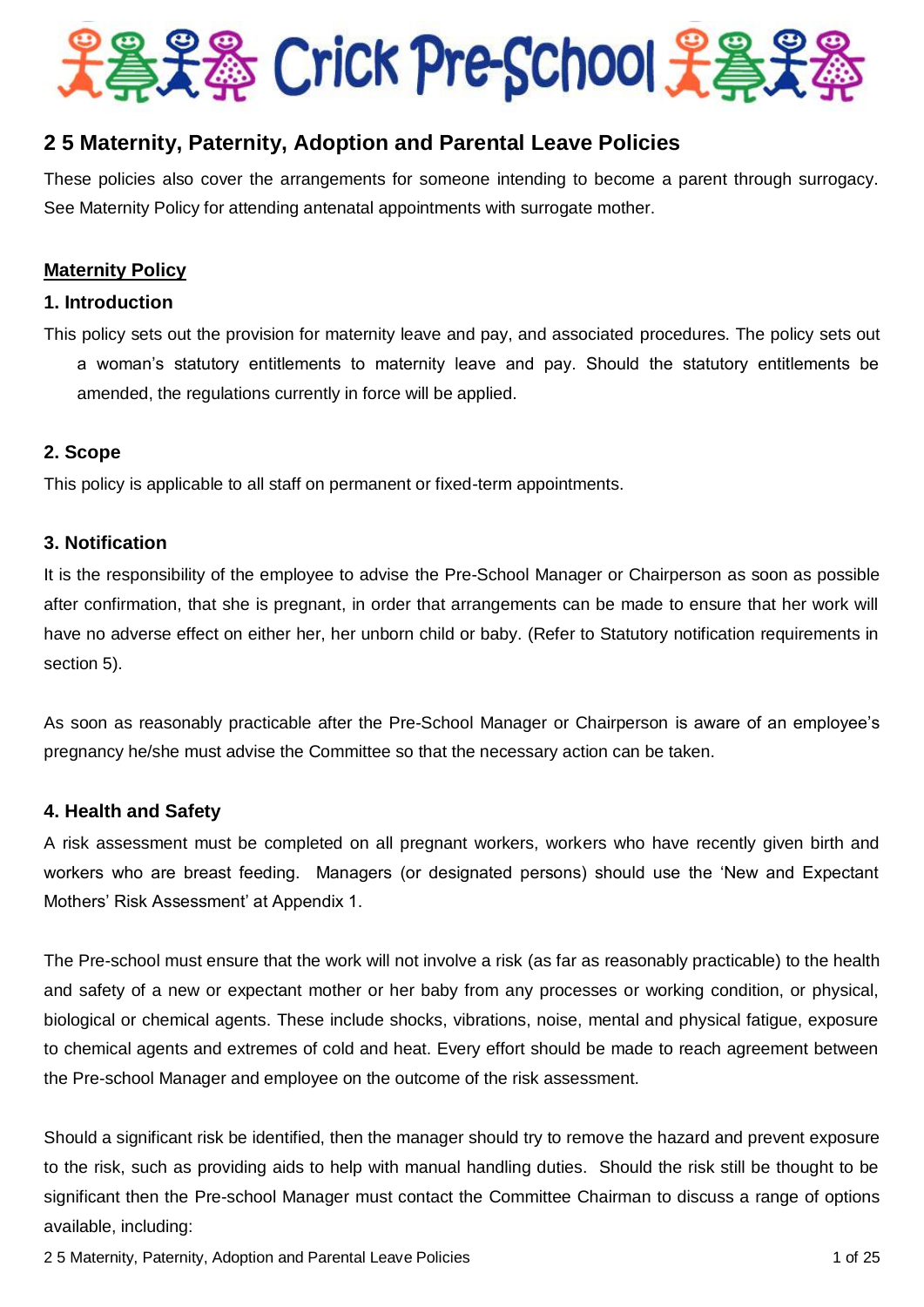

# **2 5 Maternity, Paternity, Adoption and Parental Leave Policies**

These policies also cover the arrangements for someone intending to become a parent through surrogacy. See Maternity Policy for attending antenatal appointments with surrogate mother.

# **Maternity Policy**

# **1. Introduction**

This policy sets out the provision for maternity leave and pay, and associated procedures. The policy sets out a woman's statutory entitlements to maternity leave and pay. Should the statutory entitlements be amended, the regulations currently in force will be applied.

# **2. Scope**

This policy is applicable to all staff on permanent or fixed-term appointments.

# **3. Notification**

It is the responsibility of the employee to advise the Pre-School Manager or Chairperson as soon as possible after confirmation, that she is pregnant, in order that arrangements can be made to ensure that her work will have no adverse effect on either her, her unborn child or baby. (Refer to Statutory notification requirements in section 5).

As soon as reasonably practicable after the Pre-School Manager or Chairperson is aware of an employee's pregnancy he/she must advise the Committee so that the necessary action can be taken.

## **4. Health and Safety**

A risk assessment must be completed on all pregnant workers, workers who have recently given birth and workers who are breast feeding. Managers (or designated persons) should use the 'New and Expectant Mothers' Risk Assessment' at Appendix 1.

The Pre-school must ensure that the work will not involve a risk (as far as reasonably practicable) to the health and safety of a new or expectant mother or her baby from any processes or working condition, or physical, biological or chemical agents. These include shocks, vibrations, noise, mental and physical fatigue, exposure to chemical agents and extremes of cold and heat. Every effort should be made to reach agreement between the Pre-school Manager and employee on the outcome of the risk assessment.

Should a significant risk be identified, then the manager should try to remove the hazard and prevent exposure to the risk, such as providing aids to help with manual handling duties. Should the risk still be thought to be significant then the Pre-school Manager must contact the Committee Chairman to discuss a range of options available, including:

2 5 Maternity, Paternity, Adoption and Parental Leave Policies 1 of 25 Maternity, Paternity, Adoption and Parental Leave Policies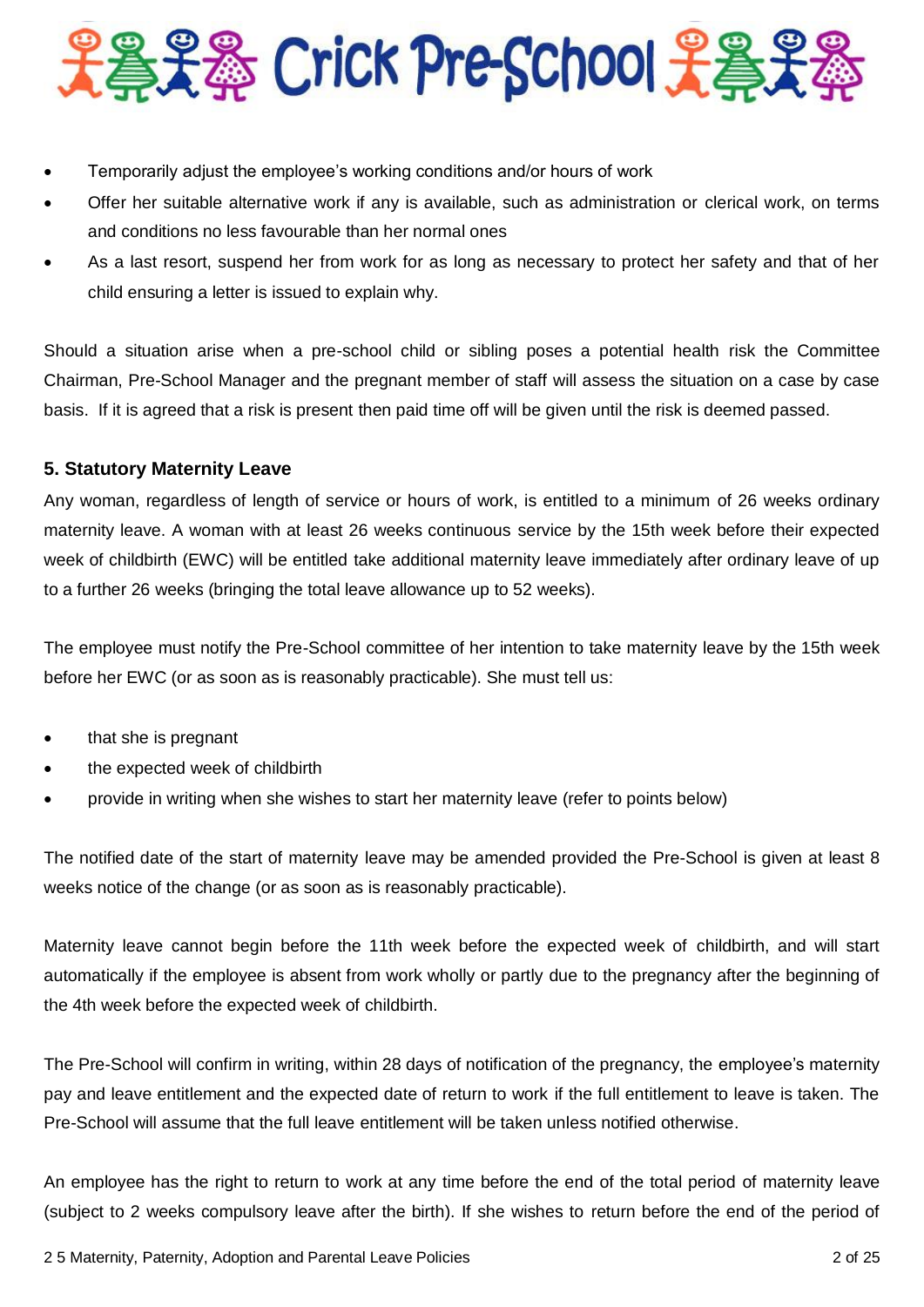

- Temporarily adjust the employee's working conditions and/or hours of work
- Offer her suitable alternative work if any is available, such as administration or clerical work, on terms and conditions no less favourable than her normal ones
- As a last resort, suspend her from work for as long as necessary to protect her safety and that of her child ensuring a letter is issued to explain why.

Should a situation arise when a pre-school child or sibling poses a potential health risk the Committee Chairman, Pre-School Manager and the pregnant member of staff will assess the situation on a case by case basis. If it is agreed that a risk is present then paid time off will be given until the risk is deemed passed.

# **5. Statutory Maternity Leave**

Any woman, regardless of length of service or hours of work, is entitled to a minimum of 26 weeks ordinary maternity leave. A woman with at least 26 weeks continuous service by the 15th week before their expected week of childbirth (EWC) will be entitled take additional maternity leave immediately after ordinary leave of up to a further 26 weeks (bringing the total leave allowance up to 52 weeks).

The employee must notify the Pre-School committee of her intention to take maternity leave by the 15th week before her EWC (or as soon as is reasonably practicable). She must tell us:

- that she is pregnant
- the expected week of childbirth
- provide in writing when she wishes to start her maternity leave (refer to points below)

The notified date of the start of maternity leave may be amended provided the Pre-School is given at least 8 weeks notice of the change (or as soon as is reasonably practicable).

Maternity leave cannot begin before the 11th week before the expected week of childbirth, and will start automatically if the employee is absent from work wholly or partly due to the pregnancy after the beginning of the 4th week before the expected week of childbirth.

The Pre-School will confirm in writing, within 28 days of notification of the pregnancy, the employee's maternity pay and leave entitlement and the expected date of return to work if the full entitlement to leave is taken. The Pre-School will assume that the full leave entitlement will be taken unless notified otherwise.

An employee has the right to return to work at any time before the end of the total period of maternity leave (subject to 2 weeks compulsory leave after the birth). If she wishes to return before the end of the period of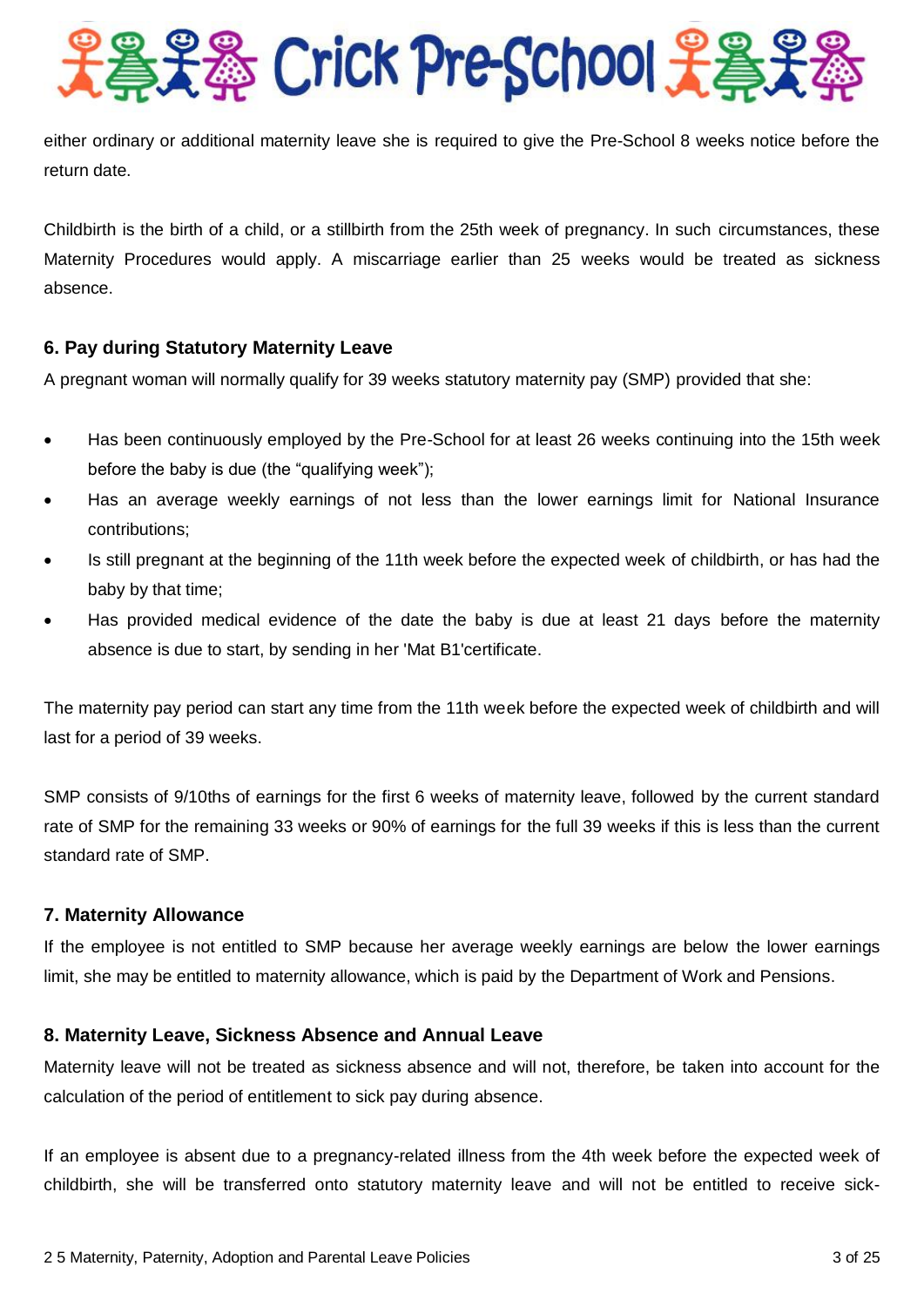

either ordinary or additional maternity leave she is required to give the Pre-School 8 weeks notice before the return date.

Childbirth is the birth of a child, or a stillbirth from the 25th week of pregnancy. In such circumstances, these Maternity Procedures would apply. A miscarriage earlier than 25 weeks would be treated as sickness absence.

# **6. Pay during Statutory Maternity Leave**

A pregnant woman will normally qualify for 39 weeks statutory maternity pay (SMP) provided that she:

- Has been continuously employed by the Pre-School for at least 26 weeks continuing into the 15th week before the baby is due (the "qualifying week");
- Has an average weekly earnings of not less than the lower earnings limit for National Insurance contributions;
- Is still pregnant at the beginning of the 11th week before the expected week of childbirth, or has had the baby by that time;
- Has provided medical evidence of the date the baby is due at least 21 days before the maternity absence is due to start, by sending in her 'Mat B1'certificate.

The maternity pay period can start any time from the 11th week before the expected week of childbirth and will last for a period of 39 weeks.

SMP consists of 9/10ths of earnings for the first 6 weeks of maternity leave, followed by the current standard rate of SMP for the remaining 33 weeks or 90% of earnings for the full 39 weeks if this is less than the current standard rate of SMP.

## **7. Maternity Allowance**

If the employee is not entitled to SMP because her average weekly earnings are below the lower earnings limit, she may be entitled to maternity allowance, which is paid by the Department of Work and Pensions.

## **8. Maternity Leave, Sickness Absence and Annual Leave**

Maternity leave will not be treated as sickness absence and will not, therefore, be taken into account for the calculation of the period of entitlement to sick pay during absence.

If an employee is absent due to a pregnancy-related illness from the 4th week before the expected week of childbirth, she will be transferred onto statutory maternity leave and will not be entitled to receive sick-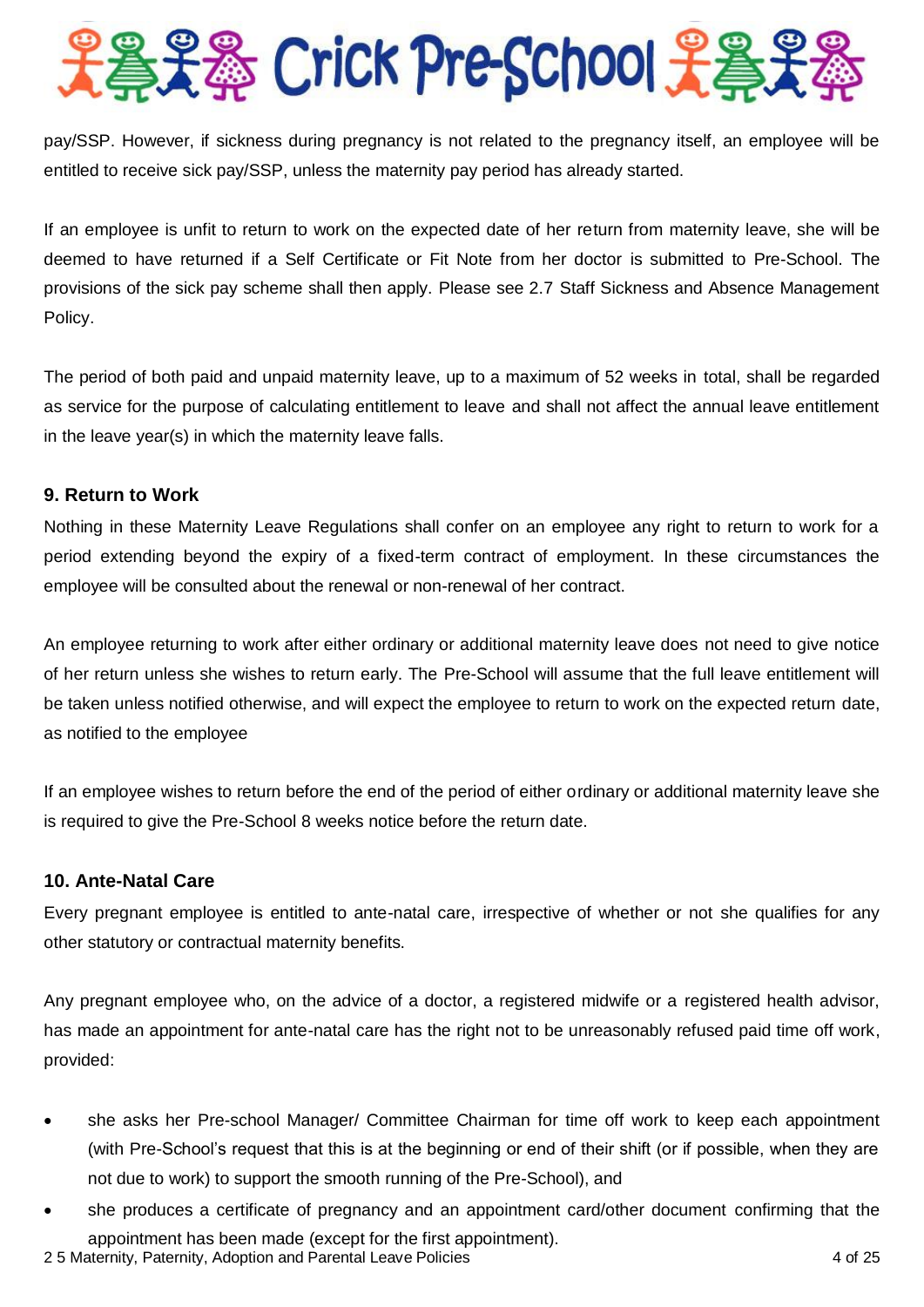

pay/SSP. However, if sickness during pregnancy is not related to the pregnancy itself, an employee will be entitled to receive sick pay/SSP, unless the maternity pay period has already started.

If an employee is unfit to return to work on the expected date of her return from maternity leave, she will be deemed to have returned if a Self Certificate or Fit Note from her doctor is submitted to Pre-School. The provisions of the sick pay scheme shall then apply. Please see 2.7 Staff Sickness and Absence Management Policy.

The period of both paid and unpaid maternity leave, up to a maximum of 52 weeks in total, shall be regarded as service for the purpose of calculating entitlement to leave and shall not affect the annual leave entitlement in the leave year(s) in which the maternity leave falls.

# **9. Return to Work**

Nothing in these Maternity Leave Regulations shall confer on an employee any right to return to work for a period extending beyond the expiry of a fixed-term contract of employment. In these circumstances the employee will be consulted about the renewal or non-renewal of her contract.

An employee returning to work after either ordinary or additional maternity leave does not need to give notice of her return unless she wishes to return early. The Pre-School will assume that the full leave entitlement will be taken unless notified otherwise, and will expect the employee to return to work on the expected return date, as notified to the employee

If an employee wishes to return before the end of the period of either ordinary or additional maternity leave she is required to give the Pre-School 8 weeks notice before the return date.

# **10. Ante-Natal Care**

Every pregnant employee is entitled to ante-natal care, irrespective of whether or not she qualifies for any other statutory or contractual maternity benefits.

Any pregnant employee who, on the advice of a doctor, a registered midwife or a registered health advisor, has made an appointment for ante-natal care has the right not to be unreasonably refused paid time off work, provided:

- she asks her Pre-school Manager/ Committee Chairman for time off work to keep each appointment (with Pre-School's request that this is at the beginning or end of their shift (or if possible, when they are not due to work) to support the smooth running of the Pre-School), and
- she produces a certificate of pregnancy and an appointment card/other document confirming that the appointment has been made (except for the first appointment).

2 5 Maternity, Paternity, Adoption and Parental Leave Policies 4 of 25 Maternity, Paternity, Adoption and Parental Leave Policies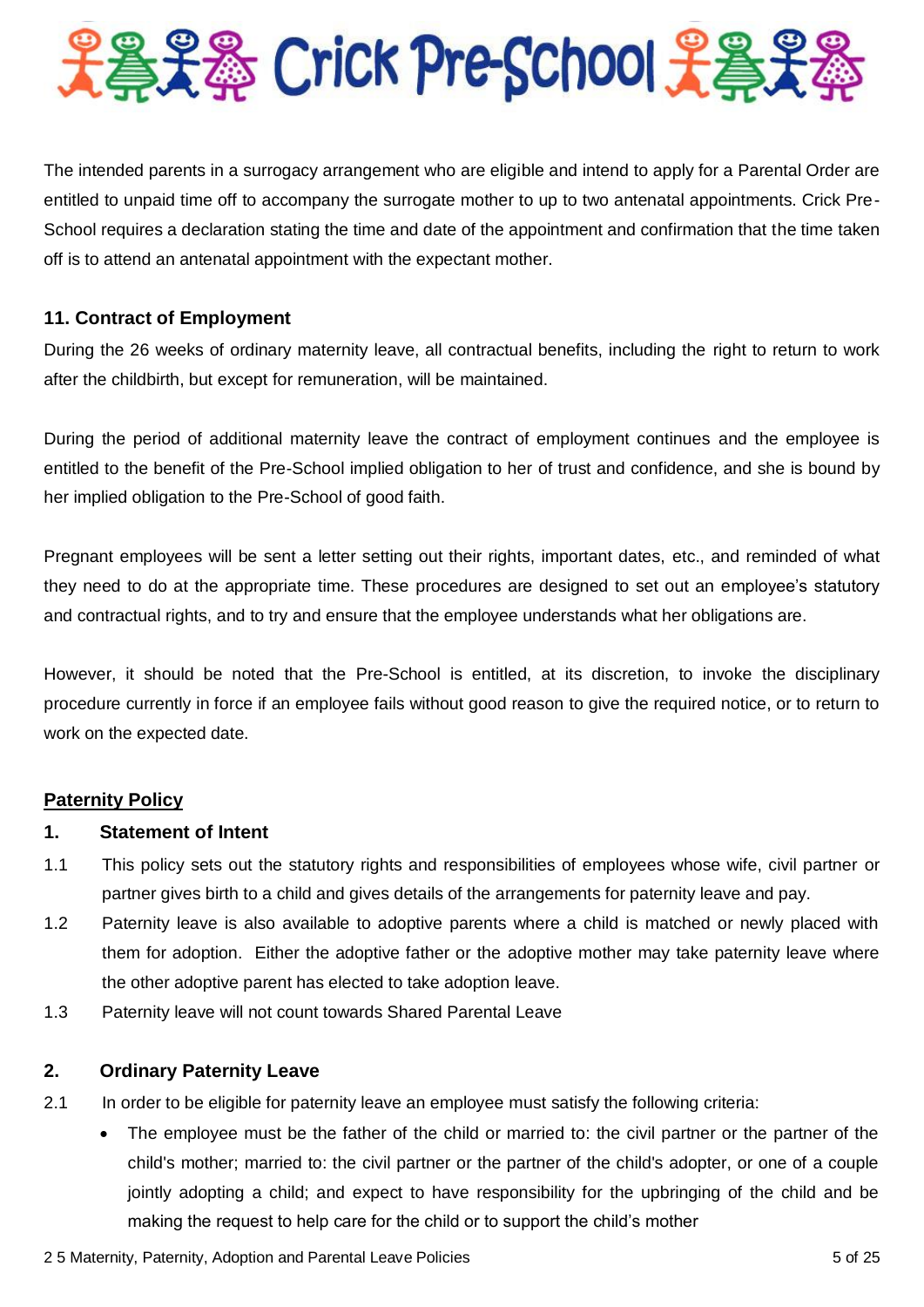

The intended parents in a surrogacy arrangement who are eligible and intend to apply for a Parental Order are entitled to unpaid time off to accompany the surrogate mother to up to two antenatal appointments. Crick Pre-School requires a declaration stating the time and date of the appointment and confirmation that the time taken off is to attend an antenatal appointment with the expectant mother.

# **11. Contract of Employment**

During the 26 weeks of ordinary maternity leave, all contractual benefits, including the right to return to work after the childbirth, but except for remuneration, will be maintained.

During the period of additional maternity leave the contract of employment continues and the employee is entitled to the benefit of the Pre-School implied obligation to her of trust and confidence, and she is bound by her implied obligation to the Pre-School of good faith.

Pregnant employees will be sent a letter setting out their rights, important dates, etc., and reminded of what they need to do at the appropriate time. These procedures are designed to set out an employee's statutory and contractual rights, and to try and ensure that the employee understands what her obligations are.

However, it should be noted that the Pre-School is entitled, at its discretion, to invoke the disciplinary procedure currently in force if an employee fails without good reason to give the required notice, or to return to work on the expected date.

## **Paternity Policy**

## **1. Statement of Intent**

- 1.1 This policy sets out the statutory rights and responsibilities of employees whose wife, civil partner or partner gives birth to a child and gives details of the arrangements for paternity leave and pay.
- 1.2 Paternity leave is also available to adoptive parents where a child is matched or newly placed with them for adoption. Either the adoptive father or the adoptive mother may take paternity leave where the other adoptive parent has elected to take adoption leave.
- 1.3 Paternity leave will not count towards Shared Parental Leave

## **2. Ordinary Paternity Leave**

- 2.1 In order to be eligible for paternity leave an employee must satisfy the following criteria:
	- The employee must be the father of the child or married to: the civil partner or the partner of the child's mother; married to: the civil partner or the partner of the child's adopter, or one of a couple jointly adopting a child; and expect to have responsibility for the upbringing of the child and be making the request to help care for the child or to support the child's mother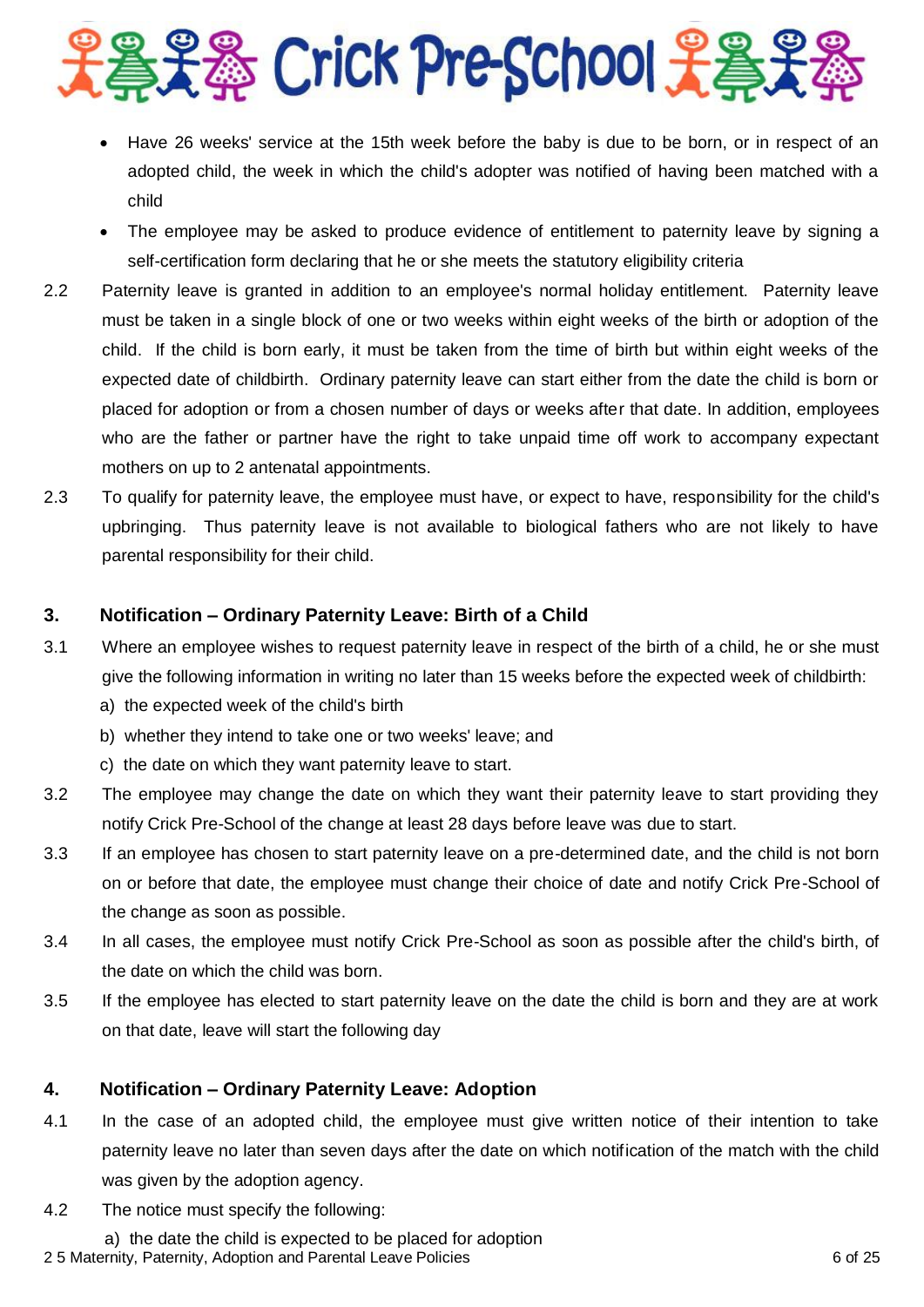

- Have 26 weeks' service at the 15th week before the baby is due to be born, or in respect of an adopted child, the week in which the child's adopter was notified of having been matched with a child
- The employee may be asked to produce evidence of entitlement to paternity leave by signing a self-certification form declaring that he or she meets the statutory eligibility criteria
- 2.2 Paternity leave is granted in addition to an employee's normal holiday entitlement. Paternity leave must be taken in a single block of one or two weeks within eight weeks of the birth or adoption of the child. If the child is born early, it must be taken from the time of birth but within eight weeks of the expected date of childbirth. Ordinary paternity leave can start either from the date the child is born or placed for adoption or from a chosen number of days or weeks after that date. In addition, employees who are the father or partner have the right to take unpaid time off work to accompany expectant mothers on up to 2 antenatal appointments.
- 2.3 To qualify for paternity leave, the employee must have, or expect to have, responsibility for the child's upbringing. Thus paternity leave is not available to biological fathers who are not likely to have parental responsibility for their child.

# **3. Notification – Ordinary Paternity Leave: Birth of a Child**

- 3.1 Where an employee wishes to request paternity leave in respect of the birth of a child, he or she must give the following information in writing no later than 15 weeks before the expected week of childbirth:
	- a) the expected week of the child's birth
	- b) whether they intend to take one or two weeks' leave; and
	- c) the date on which they want paternity leave to start.
- 3.2 The employee may change the date on which they want their paternity leave to start providing they notify Crick Pre-School of the change at least 28 days before leave was due to start.
- 3.3 If an employee has chosen to start paternity leave on a pre-determined date, and the child is not born on or before that date, the employee must change their choice of date and notify Crick Pre-School of the change as soon as possible.
- 3.4 In all cases, the employee must notify Crick Pre-School as soon as possible after the child's birth, of the date on which the child was born.
- 3.5 If the employee has elected to start paternity leave on the date the child is born and they are at work on that date, leave will start the following day

# **4. Notification – Ordinary Paternity Leave: Adoption**

- 4.1 In the case of an adopted child, the employee must give written notice of their intention to take paternity leave no later than seven days after the date on which notification of the match with the child was given by the adoption agency.
- 4.2 The notice must specify the following:
- 2 5 Maternity, Paternity, Adoption and Parental Leave Policies 6 of 25 Maternity, Paternity, Adoption and Parental Leave Policies a) the date the child is expected to be placed for adoption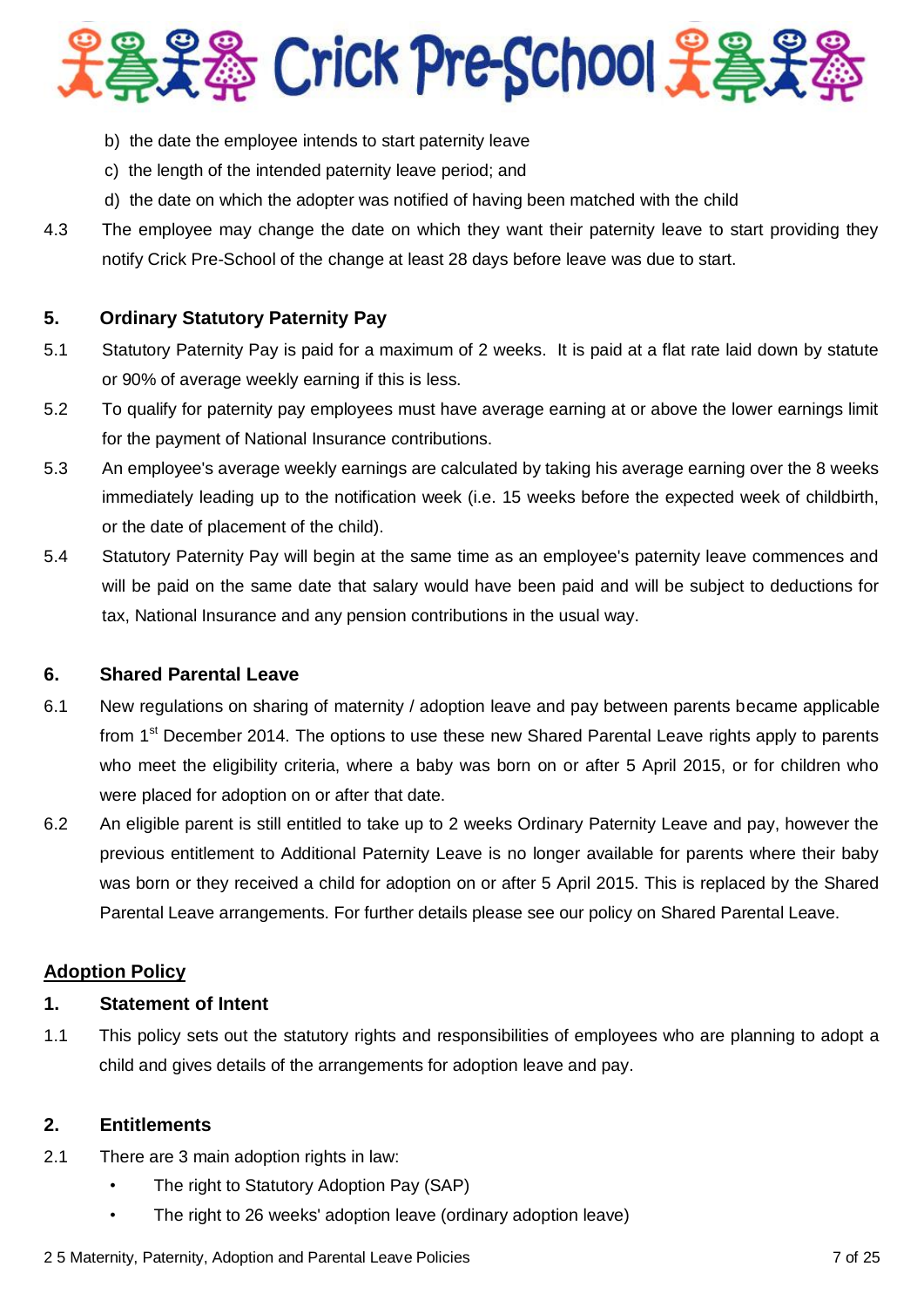

- b) the date the employee intends to start paternity leave
- c) the length of the intended paternity leave period; and
- d) the date on which the adopter was notified of having been matched with the child
- 4.3 The employee may change the date on which they want their paternity leave to start providing they notify Crick Pre-School of the change at least 28 days before leave was due to start.

# **5. Ordinary Statutory Paternity Pay**

- 5.1 Statutory Paternity Pay is paid for a maximum of 2 weeks. It is paid at a flat rate laid down by statute or 90% of average weekly earning if this is less.
- 5.2 To qualify for paternity pay employees must have average earning at or above the lower earnings limit for the payment of National Insurance contributions.
- 5.3 An employee's average weekly earnings are calculated by taking his average earning over the 8 weeks immediately leading up to the notification week (i.e. 15 weeks before the expected week of childbirth, or the date of placement of the child).
- 5.4 Statutory Paternity Pay will begin at the same time as an employee's paternity leave commences and will be paid on the same date that salary would have been paid and will be subject to deductions for tax, National Insurance and any pension contributions in the usual way.

# **6. Shared Parental Leave**

- 6.1 New regulations on sharing of maternity / adoption leave and pay between parents became applicable from 1<sup>st</sup> December 2014. The options to use these new Shared Parental Leave rights apply to parents who meet the eligibility criteria, where a baby was born on or after 5 April 2015, or for children who were placed for adoption on or after that date.
- 6.2 An eligible parent is still entitled to take up to 2 weeks Ordinary Paternity Leave and pay, however the previous entitlement to Additional Paternity Leave is no longer available for parents where their baby was born or they received a child for adoption on or after 5 April 2015. This is replaced by the Shared Parental Leave arrangements. For further details please see our policy on Shared Parental Leave.

## **Adoption Policy**

# **1. Statement of Intent**

1.1 This policy sets out the statutory rights and responsibilities of employees who are planning to adopt a child and gives details of the arrangements for adoption leave and pay.

## **2. Entitlements**

- 2.1 There are 3 main adoption rights in law:
	- The right to Statutory Adoption Pay (SAP)
	- The right to 26 weeks' adoption leave (ordinary adoption leave)

#### 2 5 Maternity, Paternity, Adoption and Parental Leave Policies **7** of 25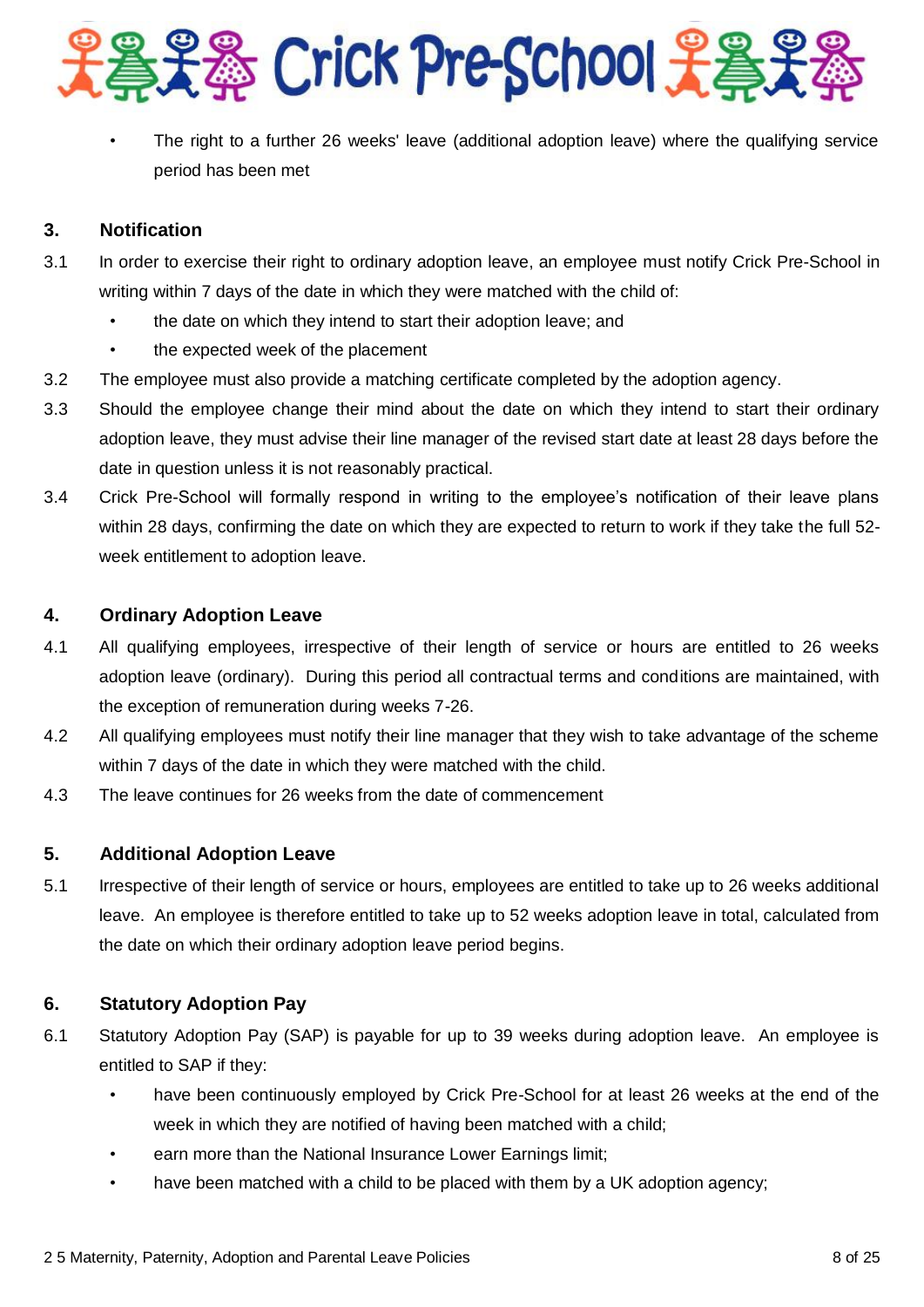

• The right to a further 26 weeks' leave (additional adoption leave) where the qualifying service period has been met

# **3. Notification**

- 3.1 In order to exercise their right to ordinary adoption leave, an employee must notify Crick Pre-School in writing within 7 days of the date in which they were matched with the child of:
	- the date on which they intend to start their adoption leave; and
	- the expected week of the placement
- 3.2 The employee must also provide a matching certificate completed by the adoption agency.
- 3.3 Should the employee change their mind about the date on which they intend to start their ordinary adoption leave, they must advise their line manager of the revised start date at least 28 days before the date in question unless it is not reasonably practical.
- 3.4 Crick Pre-School will formally respond in writing to the employee's notification of their leave plans within 28 days, confirming the date on which they are expected to return to work if they take the full 52 week entitlement to adoption leave.

# **4. Ordinary Adoption Leave**

- 4.1 All qualifying employees, irrespective of their length of service or hours are entitled to 26 weeks adoption leave (ordinary). During this period all contractual terms and conditions are maintained, with the exception of remuneration during weeks 7-26.
- 4.2 All qualifying employees must notify their line manager that they wish to take advantage of the scheme within 7 days of the date in which they were matched with the child.
- 4.3 The leave continues for 26 weeks from the date of commencement

# **5. Additional Adoption Leave**

5.1 Irrespective of their length of service or hours, employees are entitled to take up to 26 weeks additional leave. An employee is therefore entitled to take up to 52 weeks adoption leave in total, calculated from the date on which their ordinary adoption leave period begins.

# **6. Statutory Adoption Pay**

- 6.1 Statutory Adoption Pay (SAP) is payable for up to 39 weeks during adoption leave. An employee is entitled to SAP if they:
	- have been continuously employed by Crick Pre-School for at least 26 weeks at the end of the week in which they are notified of having been matched with a child;
	- earn more than the National Insurance Lower Earnings limit;
	- have been matched with a child to be placed with them by a UK adoption agency;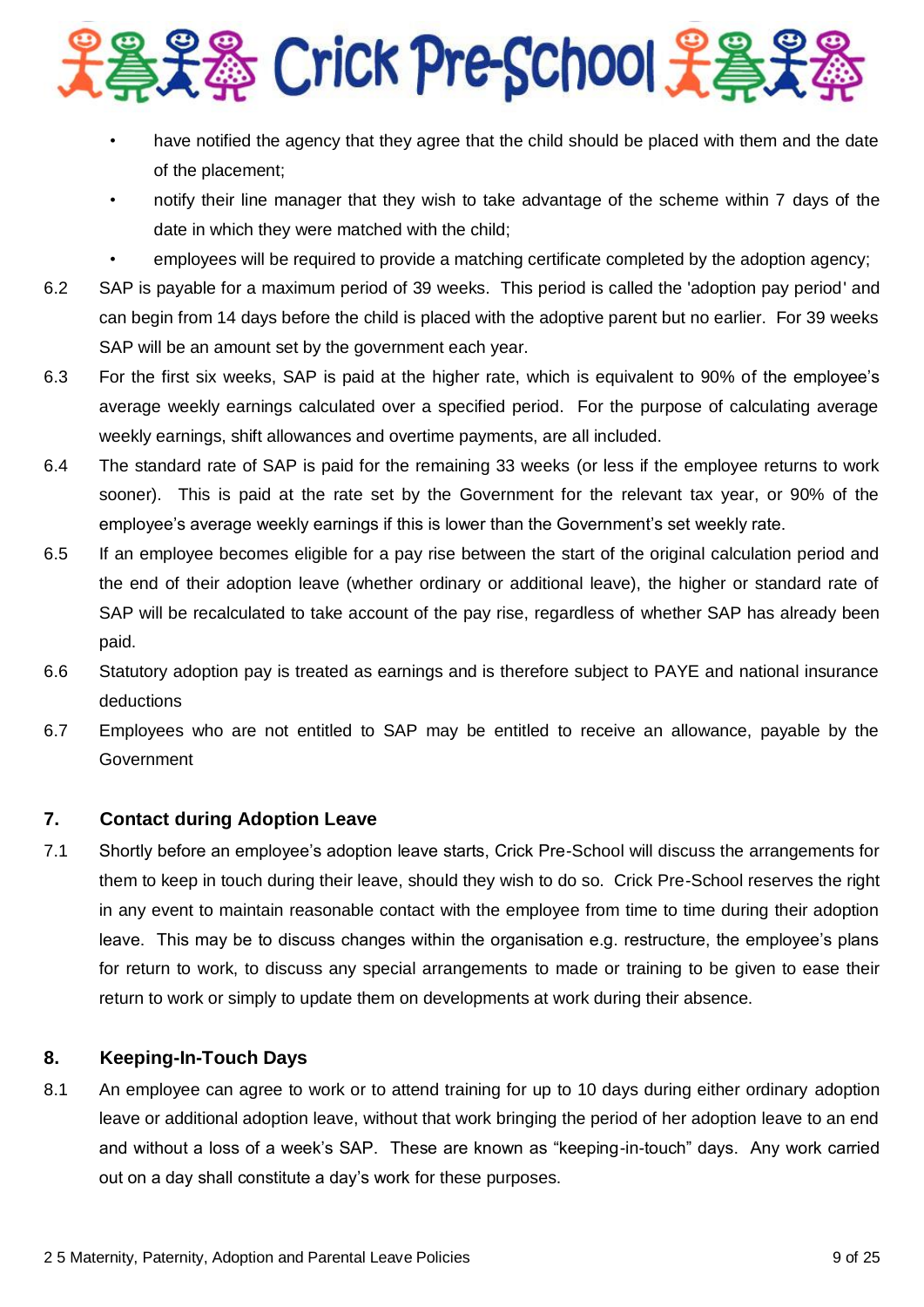

- have notified the agency that they agree that the child should be placed with them and the date of the placement;
- notify their line manager that they wish to take advantage of the scheme within 7 days of the date in which they were matched with the child;
- employees will be required to provide a matching certificate completed by the adoption agency;
- 6.2 SAP is payable for a maximum period of 39 weeks. This period is called the 'adoption pay period' and can begin from 14 days before the child is placed with the adoptive parent but no earlier. For 39 weeks SAP will be an amount set by the government each year.
- 6.3 For the first six weeks, SAP is paid at the higher rate, which is equivalent to 90% of the employee's average weekly earnings calculated over a specified period. For the purpose of calculating average weekly earnings, shift allowances and overtime payments, are all included.
- 6.4 The standard rate of SAP is paid for the remaining 33 weeks (or less if the employee returns to work sooner). This is paid at the rate set by the Government for the relevant tax year, or 90% of the employee's average weekly earnings if this is lower than the Government's set weekly rate.
- 6.5 If an employee becomes eligible for a pay rise between the start of the original calculation period and the end of their adoption leave (whether ordinary or additional leave), the higher or standard rate of SAP will be recalculated to take account of the pay rise, regardless of whether SAP has already been paid.
- 6.6 Statutory adoption pay is treated as earnings and is therefore subject to PAYE and national insurance deductions
- 6.7 Employees who are not entitled to SAP may be entitled to receive an allowance, payable by the Government

## **7. Contact during Adoption Leave**

7.1 Shortly before an employee's adoption leave starts, Crick Pre-School will discuss the arrangements for them to keep in touch during their leave, should they wish to do so. Crick Pre-School reserves the right in any event to maintain reasonable contact with the employee from time to time during their adoption leave. This may be to discuss changes within the organisation e.g. restructure, the employee's plans for return to work, to discuss any special arrangements to made or training to be given to ease their return to work or simply to update them on developments at work during their absence.

## **8. Keeping-In-Touch Days**

8.1 An employee can agree to work or to attend training for up to 10 days during either ordinary adoption leave or additional adoption leave, without that work bringing the period of her adoption leave to an end and without a loss of a week's SAP. These are known as "keeping-in-touch" days. Any work carried out on a day shall constitute a day's work for these purposes.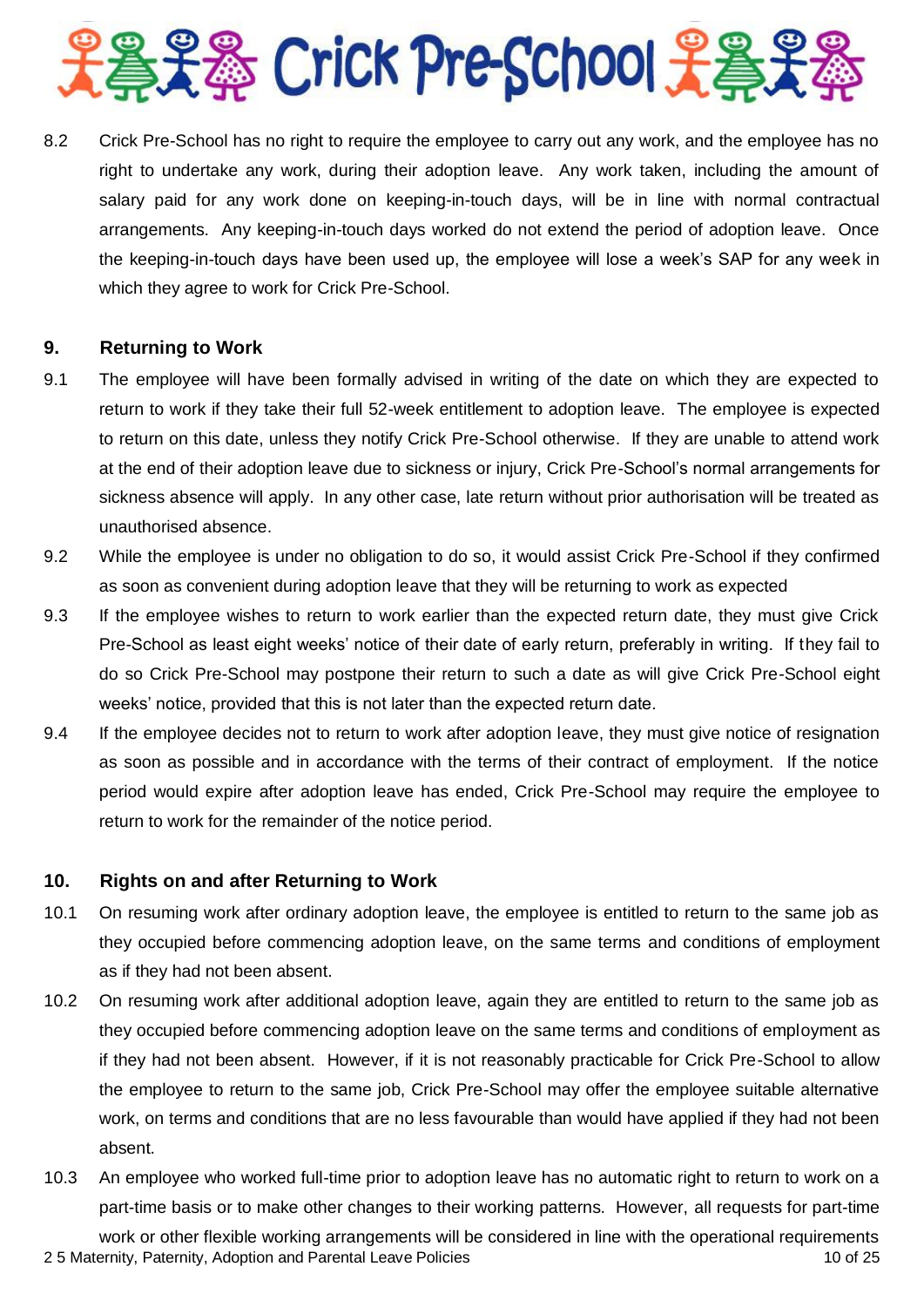

8.2 Crick Pre-School has no right to require the employee to carry out any work, and the employee has no right to undertake any work, during their adoption leave. Any work taken, including the amount of salary paid for any work done on keeping-in-touch days, will be in line with normal contractual arrangements. Any keeping-in-touch days worked do not extend the period of adoption leave. Once the keeping-in-touch days have been used up, the employee will lose a week's SAP for any week in which they agree to work for Crick Pre-School.

## **9. Returning to Work**

- 9.1 The employee will have been formally advised in writing of the date on which they are expected to return to work if they take their full 52-week entitlement to adoption leave. The employee is expected to return on this date, unless they notify Crick Pre-School otherwise. If they are unable to attend work at the end of their adoption leave due to sickness or injury, Crick Pre-School's normal arrangements for sickness absence will apply. In any other case, late return without prior authorisation will be treated as unauthorised absence.
- 9.2 While the employee is under no obligation to do so, it would assist Crick Pre-School if they confirmed as soon as convenient during adoption leave that they will be returning to work as expected
- 9.3 If the employee wishes to return to work earlier than the expected return date, they must give Crick Pre-School as least eight weeks' notice of their date of early return, preferably in writing. If they fail to do so Crick Pre-School may postpone their return to such a date as will give Crick Pre-School eight weeks' notice, provided that this is not later than the expected return date.
- 9.4 If the employee decides not to return to work after adoption leave, they must give notice of resignation as soon as possible and in accordance with the terms of their contract of employment. If the notice period would expire after adoption leave has ended, Crick Pre-School may require the employee to return to work for the remainder of the notice period.

## **10. Rights on and after Returning to Work**

- 10.1 On resuming work after ordinary adoption leave, the employee is entitled to return to the same job as they occupied before commencing adoption leave, on the same terms and conditions of employment as if they had not been absent.
- 10.2 On resuming work after additional adoption leave, again they are entitled to return to the same job as they occupied before commencing adoption leave on the same terms and conditions of employment as if they had not been absent. However, if it is not reasonably practicable for Crick Pre-School to allow the employee to return to the same job, Crick Pre-School may offer the employee suitable alternative work, on terms and conditions that are no less favourable than would have applied if they had not been absent.
- 2 5 Maternity, Paternity, Adoption and Parental Leave Policies 10 of 25 10.3 An employee who worked full-time prior to adoption leave has no automatic right to return to work on a part-time basis or to make other changes to their working patterns. However, all requests for part-time work or other flexible working arrangements will be considered in line with the operational requirements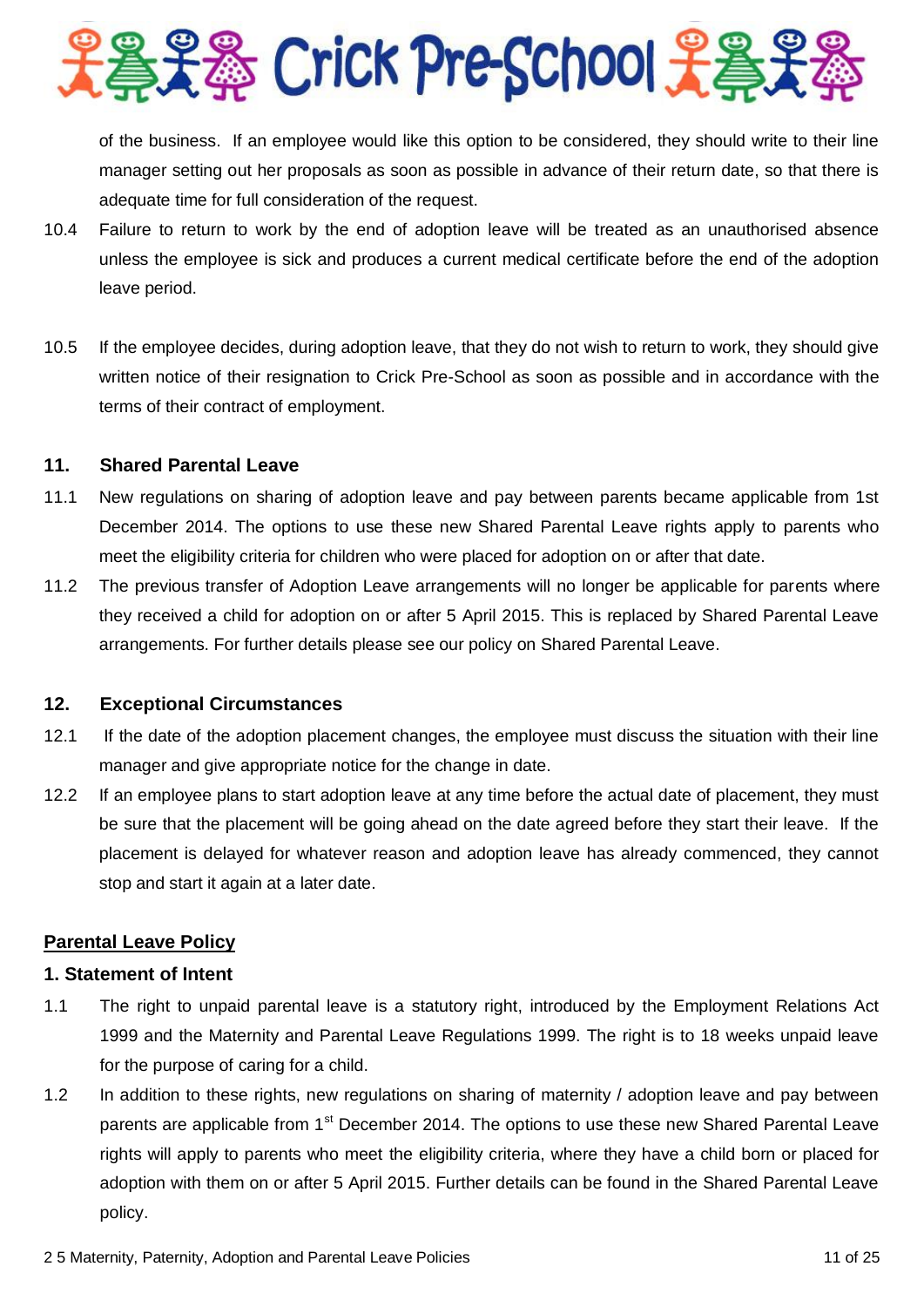

of the business. If an employee would like this option to be considered, they should write to their line manager setting out her proposals as soon as possible in advance of their return date, so that there is adequate time for full consideration of the request.

- 10.4 Failure to return to work by the end of adoption leave will be treated as an unauthorised absence unless the employee is sick and produces a current medical certificate before the end of the adoption leave period.
- 10.5 If the employee decides, during adoption leave, that they do not wish to return to work, they should give written notice of their resignation to Crick Pre-School as soon as possible and in accordance with the terms of their contract of employment.

## **11. Shared Parental Leave**

- 11.1 New regulations on sharing of adoption leave and pay between parents became applicable from 1st December 2014. The options to use these new Shared Parental Leave rights apply to parents who meet the eligibility criteria for children who were placed for adoption on or after that date.
- 11.2 The previous transfer of Adoption Leave arrangements will no longer be applicable for parents where they received a child for adoption on or after 5 April 2015. This is replaced by Shared Parental Leave arrangements. For further details please see our policy on Shared Parental Leave.

#### **12. Exceptional Circumstances**

- 12.1 If the date of the adoption placement changes, the employee must discuss the situation with their line manager and give appropriate notice for the change in date.
- 12.2 If an employee plans to start adoption leave at any time before the actual date of placement, they must be sure that the placement will be going ahead on the date agreed before they start their leave. If the placement is delayed for whatever reason and adoption leave has already commenced, they cannot stop and start it again at a later date.

## **Parental Leave Policy**

#### **1. Statement of Intent**

- 1.1 The right to unpaid parental leave is a statutory right, introduced by the Employment Relations Act 1999 and the Maternity and Parental Leave Regulations 1999. The right is to 18 weeks unpaid leave for the purpose of caring for a child.
- 1.2 In addition to these rights, new regulations on sharing of maternity / adoption leave and pay between parents are applicable from 1<sup>st</sup> December 2014. The options to use these new Shared Parental Leave rights will apply to parents who meet the eligibility criteria, where they have a child born or placed for adoption with them on or after 5 April 2015. Further details can be found in the Shared Parental Leave policy.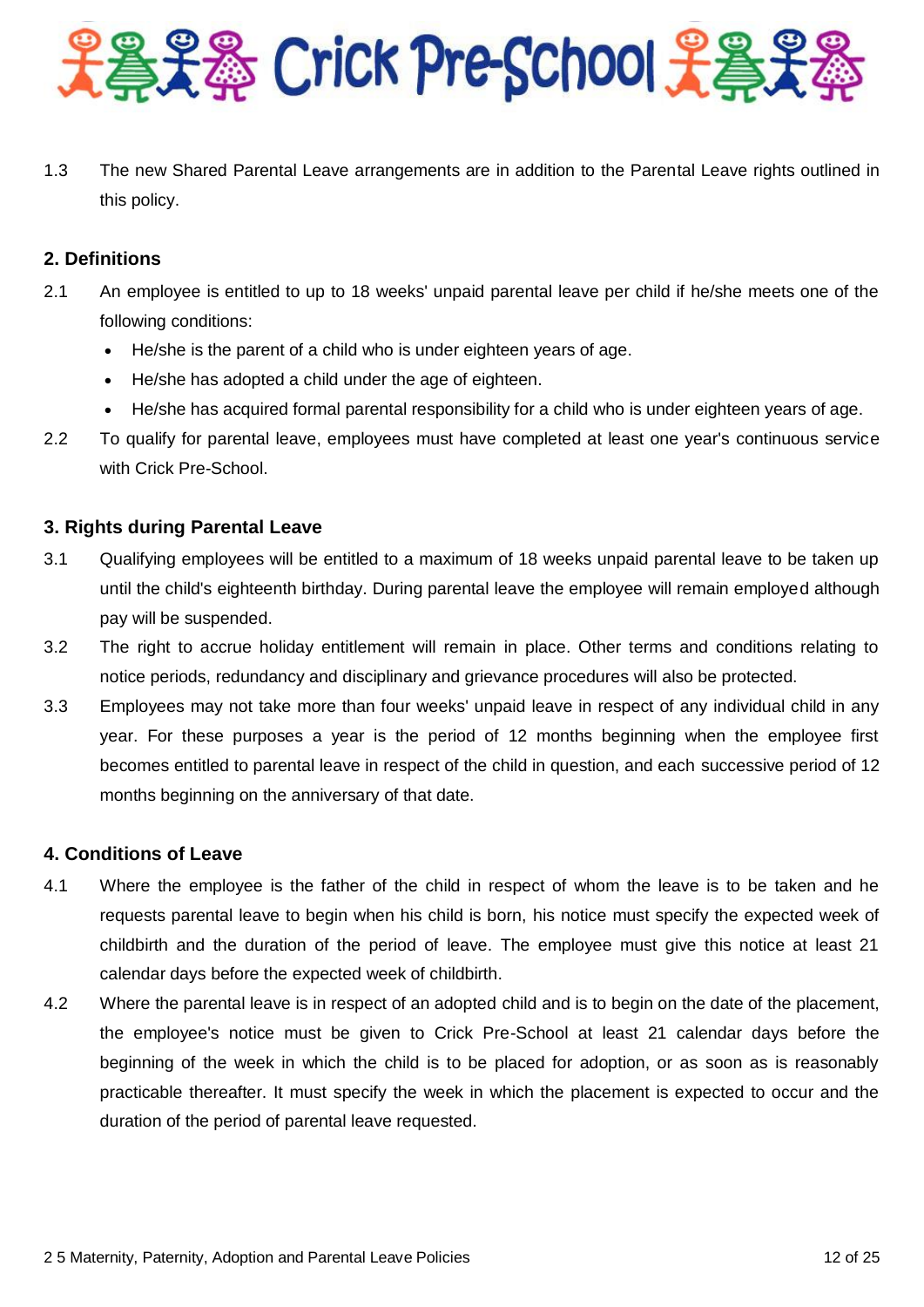

1.3 The new Shared Parental Leave arrangements are in addition to the Parental Leave rights outlined in this policy.

# **2. Definitions**

- 2.1 An employee is entitled to up to 18 weeks' unpaid parental leave per child if he/she meets one of the following conditions:
	- He/she is the parent of a child who is under eighteen years of age.
	- He/she has adopted a child under the age of eighteen.
	- He/she has acquired formal parental responsibility for a child who is under eighteen years of age.
- 2.2 To qualify for parental leave, employees must have completed at least one year's continuous service with Crick Pre-School.

# **3. Rights during Parental Leave**

- 3.1 Qualifying employees will be entitled to a maximum of 18 weeks unpaid parental leave to be taken up until the child's eighteenth birthday. During parental leave the employee will remain employed although pay will be suspended.
- 3.2 The right to accrue holiday entitlement will remain in place. Other terms and conditions relating to notice periods, redundancy and disciplinary and grievance procedures will also be protected.
- 3.3 Employees may not take more than four weeks' unpaid leave in respect of any individual child in any year. For these purposes a year is the period of 12 months beginning when the employee first becomes entitled to parental leave in respect of the child in question, and each successive period of 12 months beginning on the anniversary of that date.

## **4. Conditions of Leave**

- 4.1 Where the employee is the father of the child in respect of whom the leave is to be taken and he requests parental leave to begin when his child is born, his notice must specify the expected week of childbirth and the duration of the period of leave. The employee must give this notice at least 21 calendar days before the expected week of childbirth.
- 4.2 Where the parental leave is in respect of an adopted child and is to begin on the date of the placement, the employee's notice must be given to Crick Pre-School at least 21 calendar days before the beginning of the week in which the child is to be placed for adoption, or as soon as is reasonably practicable thereafter. It must specify the week in which the placement is expected to occur and the duration of the period of parental leave requested.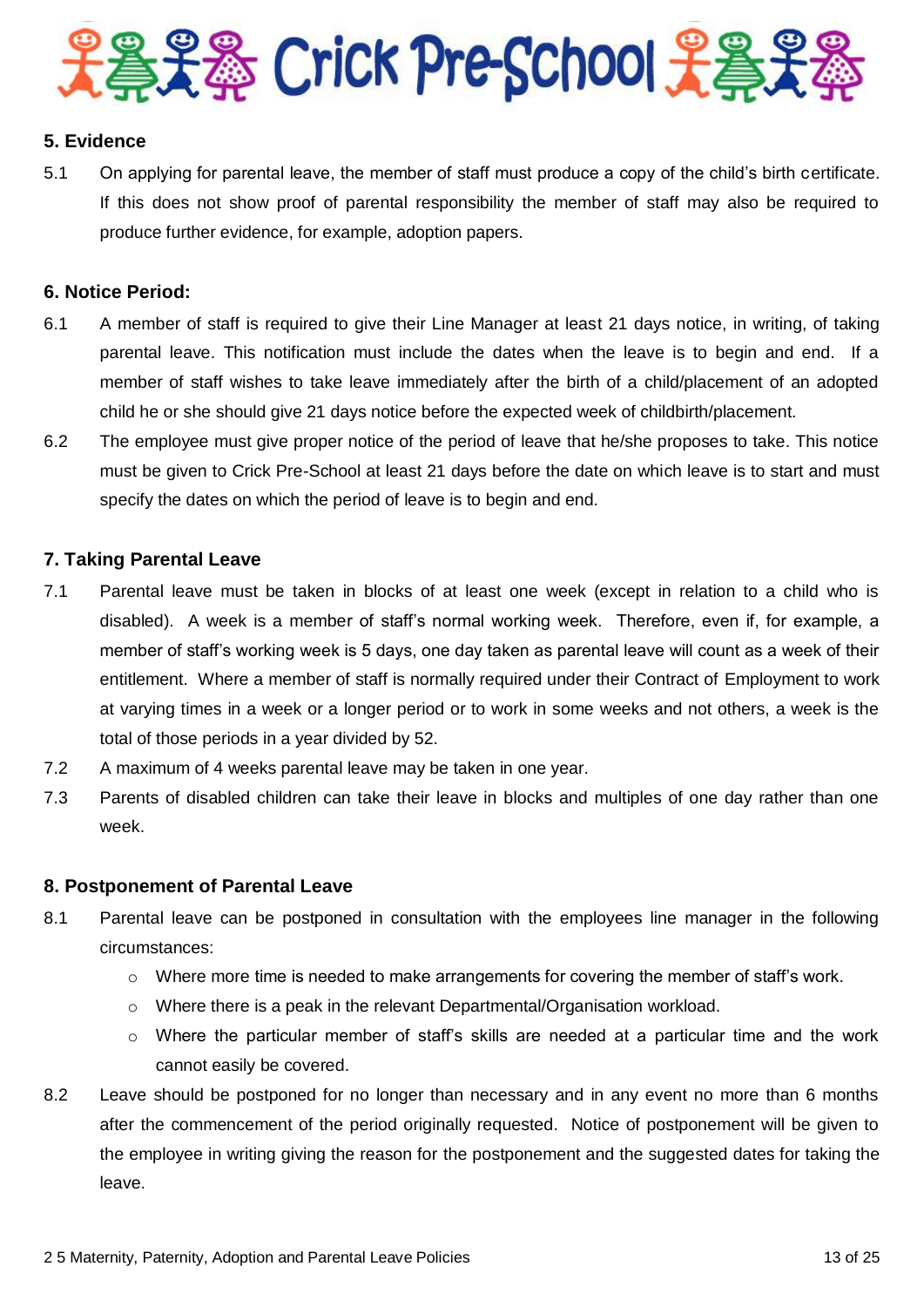

# **5. Evidence**

5.1 On applying for parental leave, the member of staff must produce a copy of the child's birth certificate. If this does not show proof of parental responsibility the member of staff may also be required to produce further evidence, for example, adoption papers.

#### **6. Notice Period:**

- 6.1 A member of staff is required to give their Line Manager at least 21 days notice, in writing, of taking parental leave. This notification must include the dates when the leave is to begin and end. If a member of staff wishes to take leave immediately after the birth of a child/placement of an adopted child he or she should give 21 days notice before the expected week of childbirth/placement.
- 6.2 The employee must give proper notice of the period of leave that he/she proposes to take. This notice must be given to Crick Pre-School at least 21 days before the date on which leave is to start and must specify the dates on which the period of leave is to begin and end.

## **7. Taking Parental Leave**

- 7.1 Parental leave must be taken in blocks of at least one week (except in relation to a child who is disabled). A week is a member of staff's normal working week. Therefore, even if, for example, a member of staff's working week is 5 days, one day taken as parental leave will count as a week of their entitlement. Where a member of staff is normally required under their Contract of Employment to work at varying times in a week or a longer period or to work in some weeks and not others, a week is the total of those periods in a year divided by 52.
- 7.2 A maximum of 4 weeks parental leave may be taken in one year.
- 7.3 Parents of disabled children can take their leave in blocks and multiples of one day rather than one week.

#### **8. Postponement of Parental Leave**

- 8.1 Parental leave can be postponed in consultation with the employees line manager in the following circumstances:
	- $\circ$  Where more time is needed to make arrangements for covering the member of staff's work.
	- $\circ$  Where there is a peak in the relevant Departmental/Organisation workload.
	- $\circ$  Where the particular member of staff's skills are needed at a particular time and the work cannot easily be covered.
- 8.2 Leave should be postponed for no longer than necessary and in any event no more than 6 months after the commencement of the period originally requested. Notice of postponement will be given to the employee in writing giving the reason for the postponement and the suggested dates for taking the leave.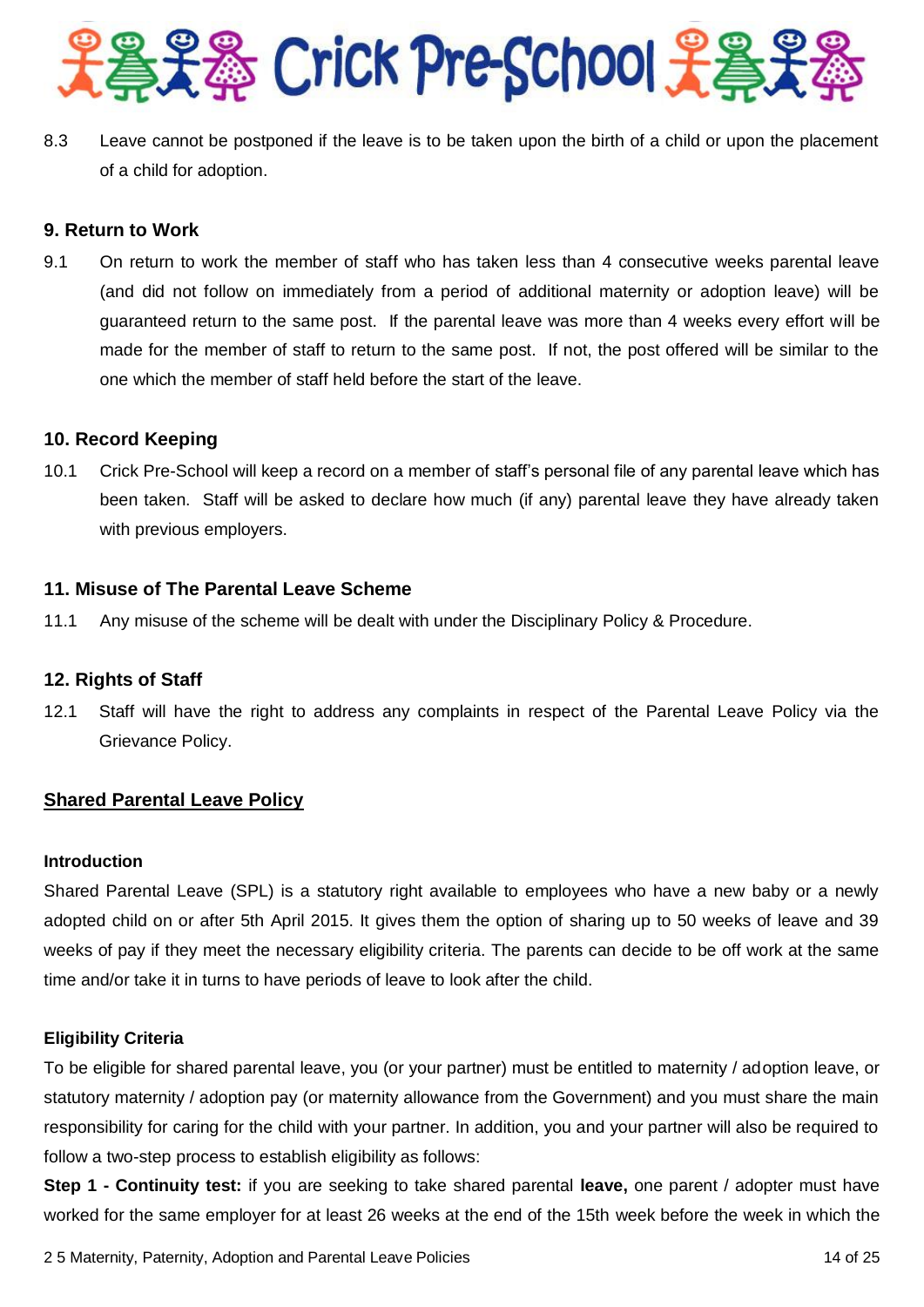

8.3 Leave cannot be postponed if the leave is to be taken upon the birth of a child or upon the placement of a child for adoption.

# **9. Return to Work**

9.1 On return to work the member of staff who has taken less than 4 consecutive weeks parental leave (and did not follow on immediately from a period of additional maternity or adoption leave) will be guaranteed return to the same post. If the parental leave was more than 4 weeks every effort will be made for the member of staff to return to the same post. If not, the post offered will be similar to the one which the member of staff held before the start of the leave.

# **10. Record Keeping**

10.1 Crick Pre-School will keep a record on a member of staff's personal file of any parental leave which has been taken. Staff will be asked to declare how much (if any) parental leave they have already taken with previous employers.

# **11. Misuse of The Parental Leave Scheme**

11.1 Any misuse of the scheme will be dealt with under the Disciplinary Policy & Procedure.

## **12. Rights of Staff**

12.1 Staff will have the right to address any complaints in respect of the Parental Leave Policy via the Grievance Policy.

## **Shared Parental Leave Policy**

#### **Introduction**

Shared Parental Leave (SPL) is a statutory right available to employees who have a new baby or a newly adopted child on or after 5th April 2015. It gives them the option of sharing up to 50 weeks of leave and 39 weeks of pay if they meet the necessary eligibility criteria. The parents can decide to be off work at the same time and/or take it in turns to have periods of leave to look after the child.

## **Eligibility Criteria**

To be eligible for shared parental leave, you (or your partner) must be entitled to maternity / adoption leave, or statutory maternity / adoption pay (or maternity allowance from the Government) and you must share the main responsibility for caring for the child with your partner. In addition, you and your partner will also be required to follow a two-step process to establish eligibility as follows:

**Step 1 - Continuity test:** if you are seeking to take shared parental **leave,** one parent / adopter must have worked for the same employer for at least 26 weeks at the end of the 15th week before the week in which the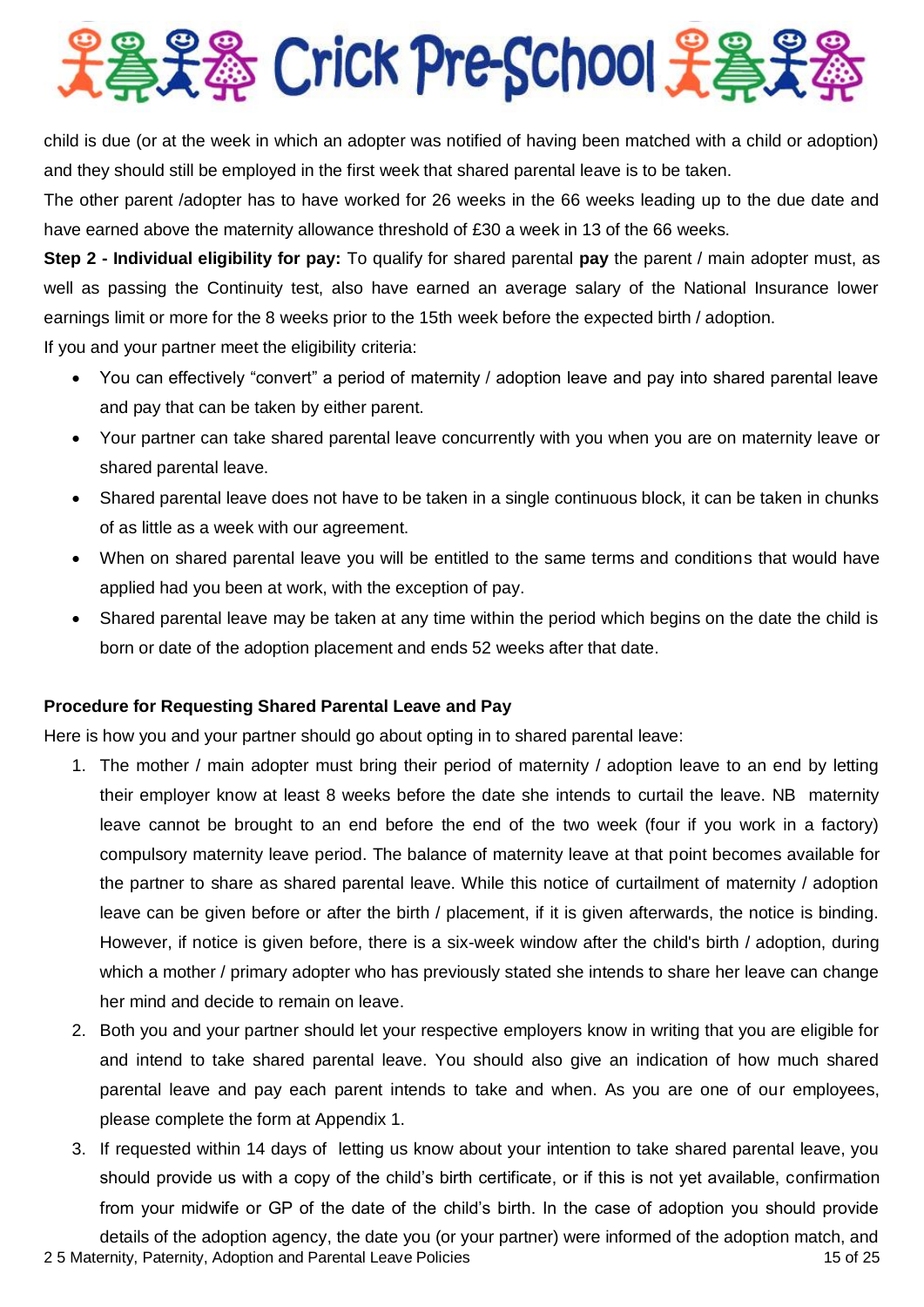

child is due (or at the week in which an adopter was notified of having been matched with a child or adoption) and they should still be employed in the first week that shared parental leave is to be taken.

The other parent /adopter has to have worked for 26 weeks in the 66 weeks leading up to the due date and have earned above the maternity allowance threshold of £30 a week in 13 of the 66 weeks.

**Step 2 - Individual eligibility for pay:** To qualify for shared parental pay the parent / main adopter must, as well as passing the Continuity test, also have earned an average salary of the National Insurance lower earnings limit or more for the 8 weeks prior to the 15th week before the expected birth / adoption.

If you and your partner meet the eligibility criteria:

- You can effectively "convert" a period of maternity / adoption leave and pay into shared parental leave and pay that can be taken by either parent.
- Your partner can take shared parental leave concurrently with you when you are on maternity leave or shared parental leave.
- Shared parental leave does not have to be taken in a single continuous block, it can be taken in chunks of as little as a week with our agreement.
- When on shared parental leave you will be entitled to the same terms and conditions that would have applied had you been at work, with the exception of pay.
- Shared parental leave may be taken at any time within the period which begins on the date the child is born or date of the adoption placement and ends 52 weeks after that date.

# **Procedure for Requesting Shared Parental Leave and Pay**

Here is how you and your partner should go about opting in to shared parental leave:

- 1. The mother / main adopter must bring their period of maternity / adoption leave to an end by letting their employer know at least 8 weeks before the date she intends to curtail the leave. NB maternity leave cannot be brought to an end before the end of the two week (four if you work in a factory) compulsory maternity leave period. The balance of maternity leave at that point becomes available for the partner to share as shared parental leave. While this notice of curtailment of maternity / adoption leave can be given before or after the birth / placement, if it is given afterwards, the notice is binding. However, if notice is given before, there is a six-week window after the child's birth / adoption, during which a mother / primary adopter who has previously stated she intends to share her leave can change her mind and decide to remain on leave.
- 2. Both you and your partner should let your respective employers know in writing that you are eligible for and intend to take shared parental leave. You should also give an indication of how much shared parental leave and pay each parent intends to take and when. As you are one of our employees, please complete the form at Appendix 1.
- 2 5 Maternity, Paternity, Adoption and Parental Leave Policies 15 of 25 of 25 of 25 of 25 of 25 of 25 of 25 of 25 of 25 of 25 of 25 of 25 of 25 of 25 of 25 of 25 of 25 of 25 of 25 of 25 of 25 of 25 of 25 of 25 of 25 of 25 3. If requested within 14 days of letting us know about your intention to take shared parental leave, you should provide us with a copy of the child's birth certificate, or if this is not yet available, confirmation from your midwife or GP of the date of the child's birth. In the case of adoption you should provide details of the adoption agency, the date you (or your partner) were informed of the adoption match, and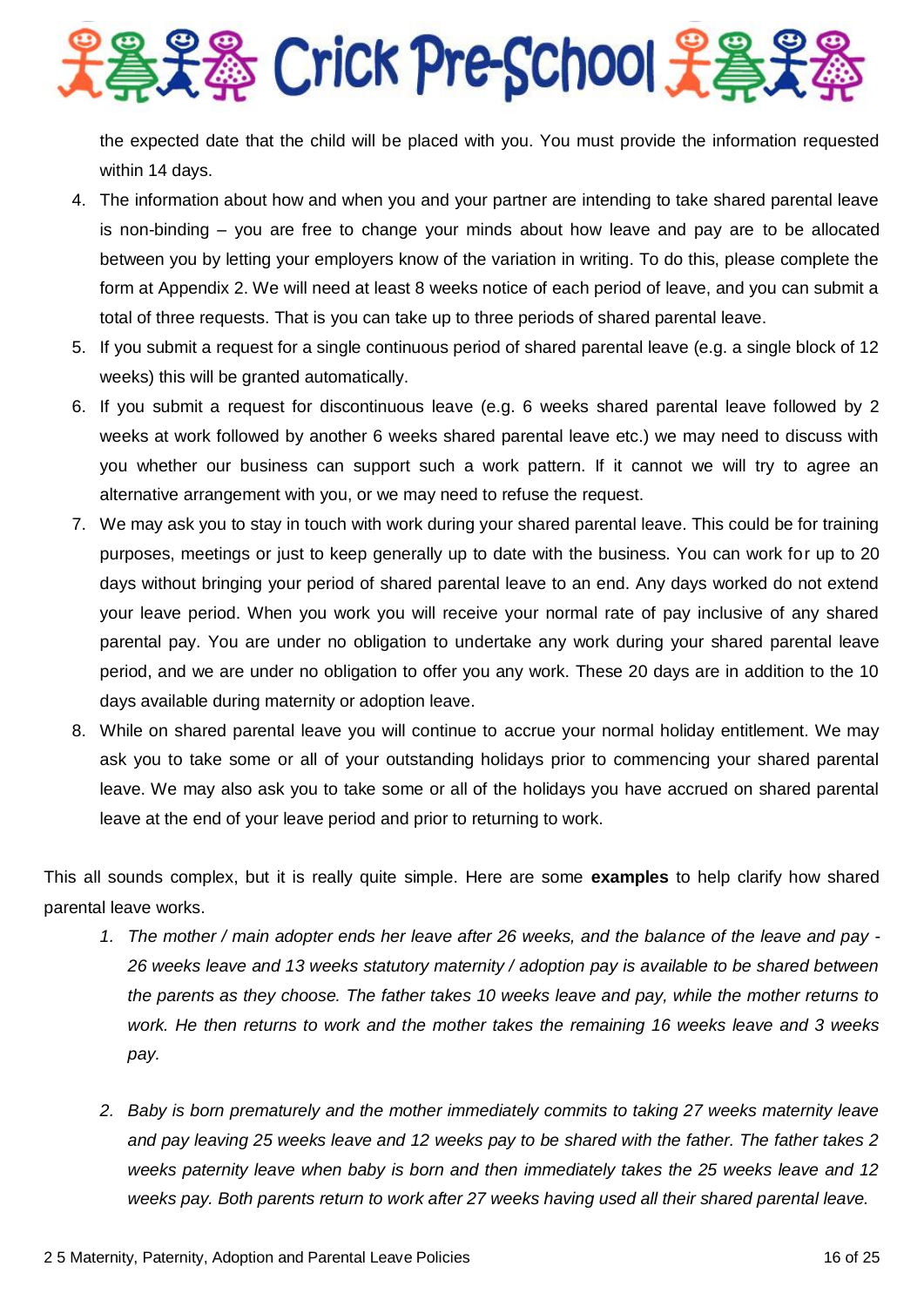2号号卷 Crick Pre-School 子卷

the expected date that the child will be placed with you. You must provide the information requested within 14 days.

- 4. The information about how and when you and your partner are intending to take shared parental leave is non-binding – you are free to change your minds about how leave and pay are to be allocated between you by letting your employers know of the variation in writing. To do this, please complete the form at Appendix 2. We will need at least 8 weeks notice of each period of leave, and you can submit a total of three requests. That is you can take up to three periods of shared parental leave.
- 5. If you submit a request for a single continuous period of shared parental leave (e.g. a single block of 12 weeks) this will be granted automatically.
- 6. If you submit a request for discontinuous leave (e.g. 6 weeks shared parental leave followed by 2 weeks at work followed by another 6 weeks shared parental leave etc.) we may need to discuss with you whether our business can support such a work pattern. If it cannot we will try to agree an alternative arrangement with you, or we may need to refuse the request.
- 7. We may ask you to stay in touch with work during your shared parental leave. This could be for training purposes, meetings or just to keep generally up to date with the business. You can work for up to 20 days without bringing your period of shared parental leave to an end. Any days worked do not extend your leave period. When you work you will receive your normal rate of pay inclusive of any shared parental pay. You are under no obligation to undertake any work during your shared parental leave period, and we are under no obligation to offer you any work. These 20 days are in addition to the 10 days available during maternity or adoption leave.
- 8. While on shared parental leave you will continue to accrue your normal holiday entitlement. We may ask you to take some or all of your outstanding holidays prior to commencing your shared parental leave. We may also ask you to take some or all of the holidays you have accrued on shared parental leave at the end of your leave period and prior to returning to work.

This all sounds complex, but it is really quite simple. Here are some **examples** to help clarify how shared parental leave works.

- *1. The mother / main adopter ends her leave after 26 weeks, and the balance of the leave and pay - 26 weeks leave and 13 weeks statutory maternity / adoption pay is available to be shared between the parents as they choose. The father takes 10 weeks leave and pay, while the mother returns to work. He then returns to work and the mother takes the remaining 16 weeks leave and 3 weeks pay.*
- *2. Baby is born prematurely and the mother immediately commits to taking 27 weeks maternity leave and pay leaving 25 weeks leave and 12 weeks pay to be shared with the father. The father takes 2 weeks paternity leave when baby is born and then immediately takes the 25 weeks leave and 12 weeks pay. Both parents return to work after 27 weeks having used all their shared parental leave.*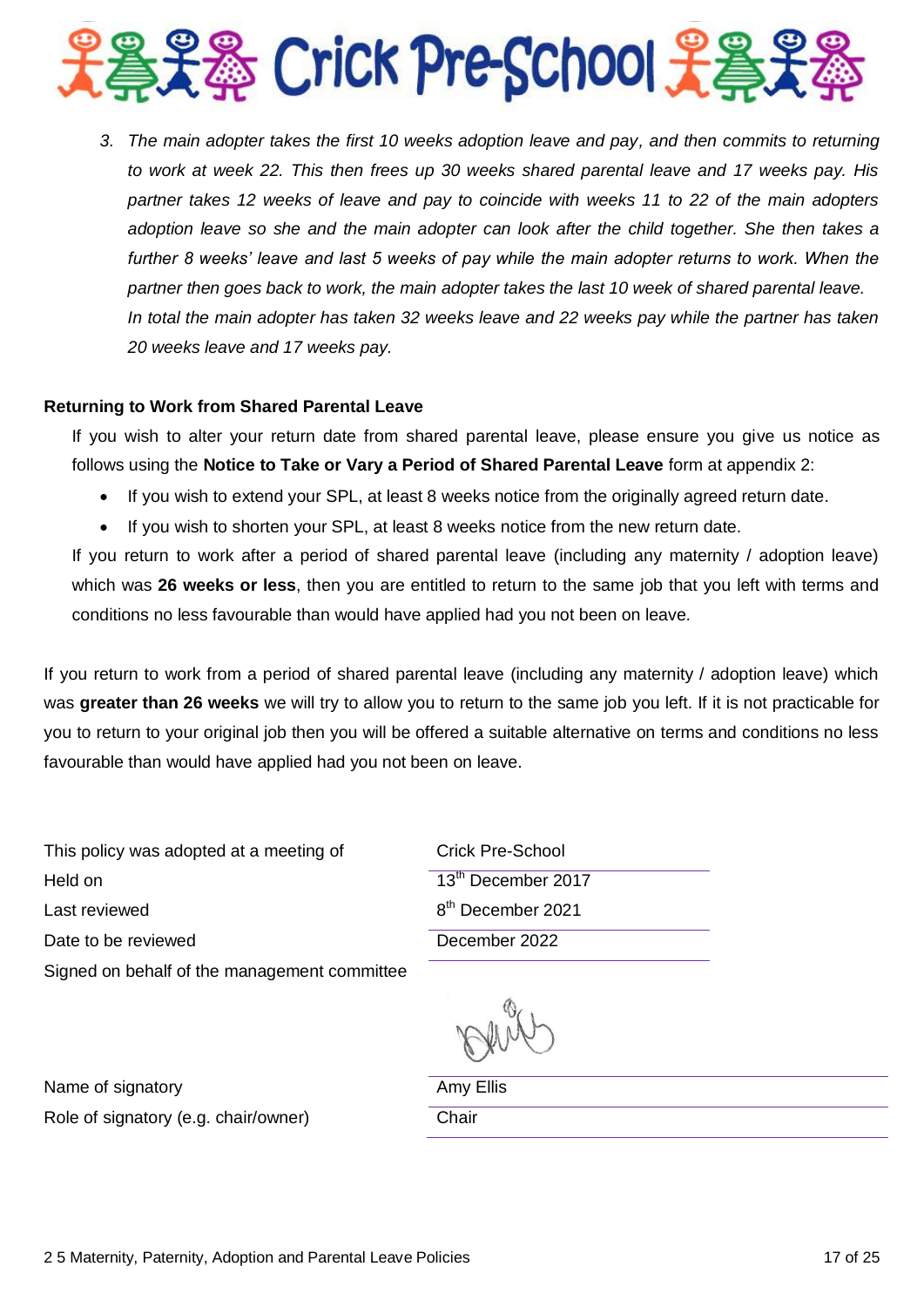

*3. The main adopter takes the first 10 weeks adoption leave and pay, and then commits to returning to work at week 22. This then frees up 30 weeks shared parental leave and 17 weeks pay. His partner takes 12 weeks of leave and pay to coincide with weeks 11 to 22 of the main adopters adoption leave so she and the main adopter can look after the child together. She then takes a*  further 8 weeks' leave and last 5 weeks of pay while the main adopter returns to work. When the *partner then goes back to work, the main adopter takes the last 10 week of shared parental leave. In total the main adopter has taken 32 weeks leave and 22 weeks pay while the partner has taken 20 weeks leave and 17 weeks pay.*

#### **Returning to Work from Shared Parental Leave**

If you wish to alter your return date from shared parental leave, please ensure you give us notice as follows using the **Notice to Take or Vary a Period of Shared Parental Leave** form at appendix 2:

- If you wish to extend your SPL, at least 8 weeks notice from the originally agreed return date.
- If you wish to shorten your SPL, at least 8 weeks notice from the new return date.

If you return to work after a period of shared parental leave (including any maternity / adoption leave) which was **26 weeks or less**, then you are entitled to return to the same job that you left with terms and conditions no less favourable than would have applied had you not been on leave.

If you return to work from a period of shared parental leave (including any maternity / adoption leave) which was **greater than 26 weeks** we will try to allow you to return to the same job you left. If it is not practicable for you to return to your original job then you will be offered a suitable alternative on terms and conditions no less favourable than would have applied had you not been on leave.

This policy was adopted at a meeting of Held on Last reviewed Date to be reviewed Signed on behalf of the management committee

| Crick Pre-School               |
|--------------------------------|
| 13 <sup>th</sup> December 2017 |
| 8 <sup>th</sup> December 2021  |
| December 2022                  |
|                                |

Name of signatory and the state of signatory and the state of  $A$ my Ellis Role of signatory (e.g. chair/owner) Chair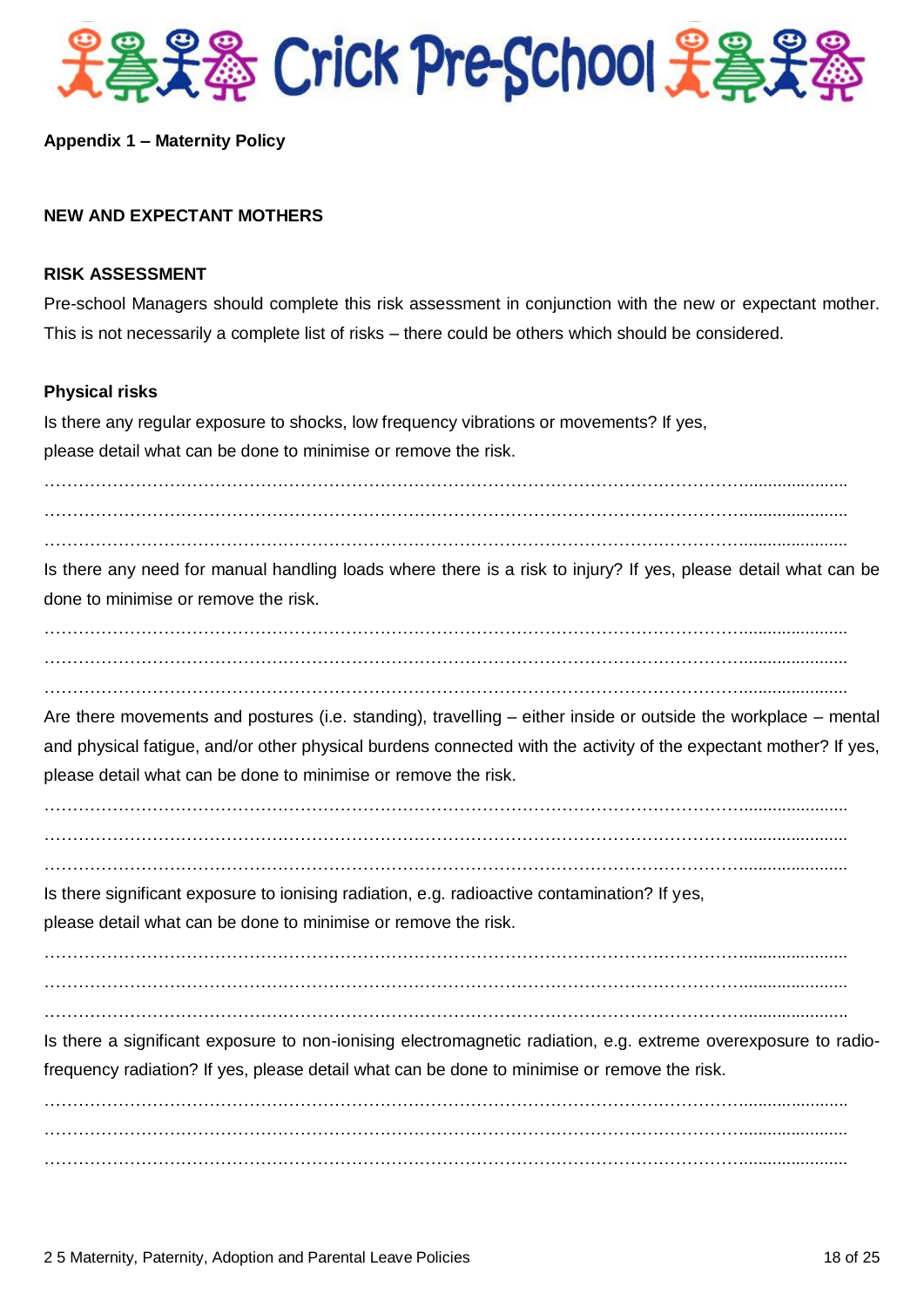

#### **Appendix 1 – Maternity Policy**

### **NEW AND EXPECTANT MOTHERS**

#### **RISK ASSESSMENT**

Pre-school Managers should complete this risk assessment in conjunction with the new or expectant mother. This is not necessarily a complete list of risks – there could be others which should be considered.

#### **Physical risks**

Is there any regular exposure to shocks, low frequency vibrations or movements? If yes, please detail what can be done to minimise or remove the risk.

……………………………………………………………………………………………………………......................

……………………………………………………………………………………………………………......................  $\mathcal{L}^{(n)}$  is the contract of the contract of the contract of the contract of the contract of the contract of

Is there any need for manual handling loads where there is a risk to injury? If yes, please detail what can be done to minimise or remove the risk.

……………………………………………………………………………………………………………......................  $\mathcal{L}^{(n)}$  is the contract of the contract of the contract of the contract of the contract of the contract of the contract of the contract of the contract of the contract of the contract of the contract of the contract

……………………………………………………………………………………………………………......................

Are there movements and postures (i.e. standing), travelling – either inside or outside the workplace – mental and physical fatigue, and/or other physical burdens connected with the activity of the expectant mother? If yes, please detail what can be done to minimise or remove the risk.

……………………………………………………………………………………………………………...................... ……………………………………………………………………………………………………………......................

……………………………………………………………………………………………………………......................

Is there significant exposure to ionising radiation, e.g. radioactive contamination? If yes,

please detail what can be done to minimise or remove the risk.

……………………………………………………………………………………………………………......................

……………………………………………………………………………………………………………......................

Is there a significant exposure to non-ionising electromagnetic radiation, e.g. extreme overexposure to radiofrequency radiation? If yes, please detail what can be done to minimise or remove the risk.

……………………………………………………………………………………………………………......................

……………………………………………………………………………………………………………...................... ……………………………………………………………………………………………………………...................... ……………………………………………………………………………………………………………......................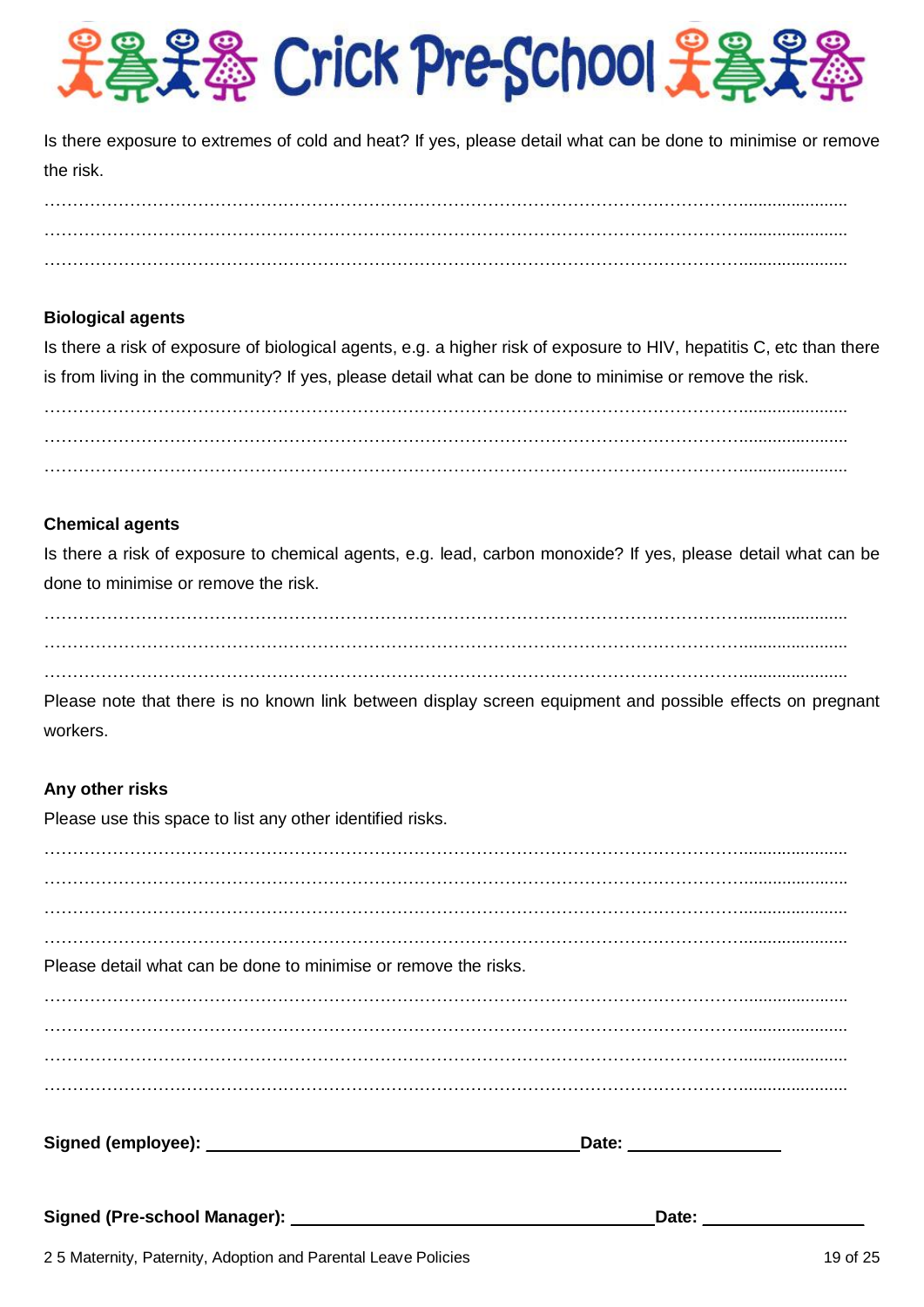

Is there exposure to extremes of cold and heat? If yes, please detail what can be done to minimise or remove the risk.

 $\mathcal{L}^{(n)}$  is the contract of the contract of the contract of the contract of the contract of the contract of the contract of the contract of the contract of the contract of the contract of the contract of the contract ……………………………………………………………………………………………………………...................... ……………………………………………………………………………………………………………......................

# **Biological agents**

Is there a risk of exposure of biological agents, e.g. a higher risk of exposure to HIV, hepatitis C, etc than there is from living in the community? If yes, please detail what can be done to minimise or remove the risk.

……………………………………………………………………………………………………………......................  $\mathcal{L}^{(n)}$  is the contract of the contract of the contract of the contract of the contract of the contract of  $\mathcal{L}^{(n)}$  is the contract of the contract of the contract of the contract of the contract of the contract of

# **Chemical agents**

Is there a risk of exposure to chemical agents, e.g. lead, carbon monoxide? If yes, please detail what can be done to minimise or remove the risk.

……………………………………………………………………………………………………………...................... ……………………………………………………………………………………………………………...................... ……………………………………………………………………………………………………………......................

Please note that there is no known link between display screen equipment and possible effects on pregnant workers.

## **Any other risks**

Please use this space to list any other identified risks.

……………………………………………………………………………………………………………...................... ……………………………………………………………………………………………………………...................... ……………………………………………………………………………………………………………...................... ……………………………………………………………………………………………………………...................... Please detail what can be done to minimise or remove the risks. ……………………………………………………………………………………………………………...................... ……………………………………………………………………………………………………………......................  $\mathcal{L}^{(n)}$  is the contract of the contract of the contract of the contract of the contract of the contract of ……………………………………………………………………………………………………………...................... **Signed (employee):** \_\_\_\_\_\_\_\_\_\_\_\_\_\_\_\_\_\_\_\_\_\_\_\_\_\_ \_\_\_ **Date:** \_\_\_\_ \_\_\_\_\_\_\_ **Signed (Pre-school Manager):** \_\_\_\_\_\_\_\_\_\_\_\_\_\_\_\_\_\_\_\_\_\_\_ \_\_\_\_\_ **Date:** \_\_\_\_\_\_\_ \_\_\_\_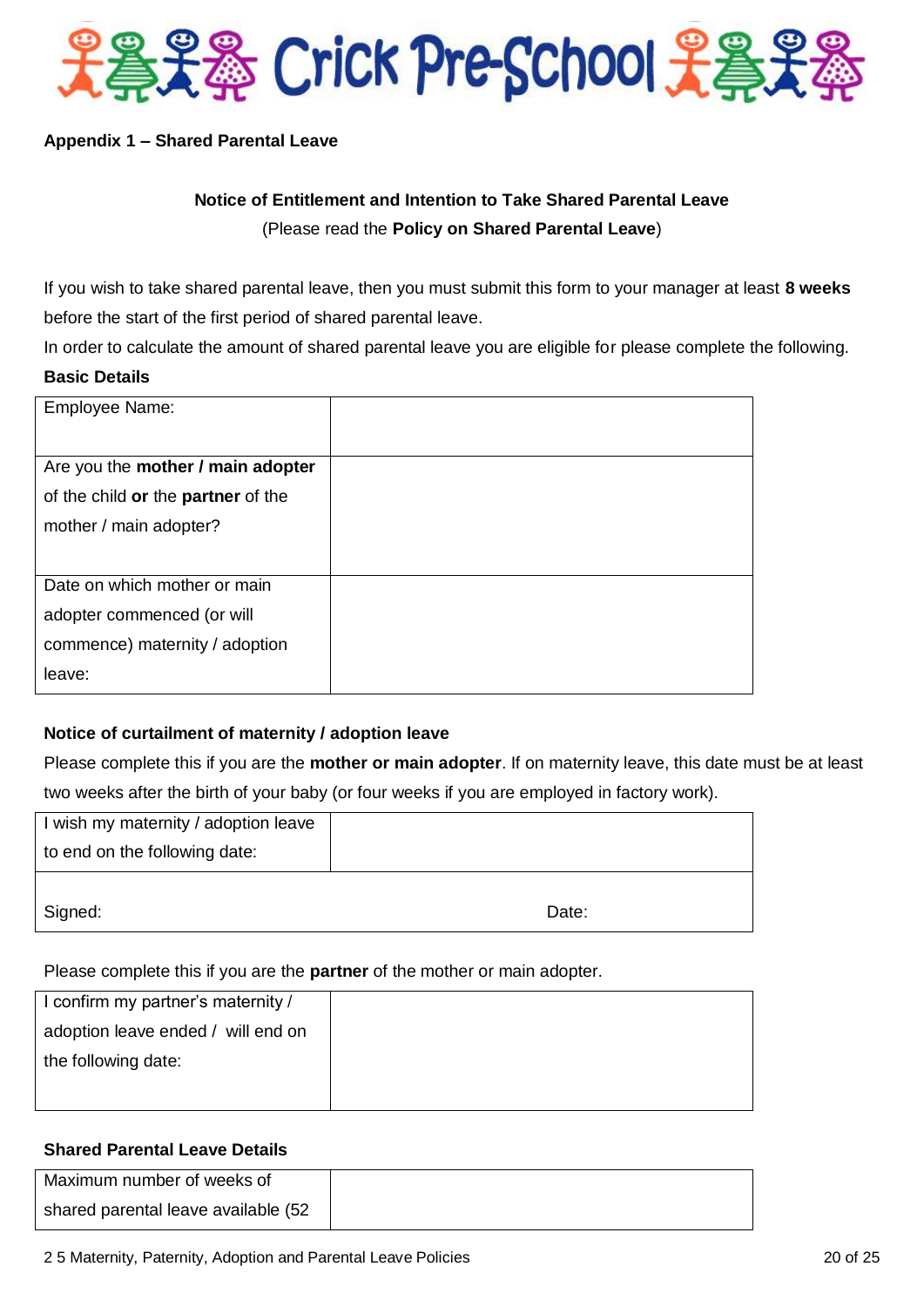

# **Appendix 1 – Shared Parental Leave**

# **Notice of Entitlement and Intention to Take Shared Parental Leave** (Please read the **Policy on Shared Parental Leave**)

If you wish to take shared parental leave, then you must submit this form to your manager at least **8 weeks** before the start of the first period of shared parental leave.

In order to calculate the amount of shared parental leave you are eligible for please complete the following. **Basic Details**

| <b>Employee Name:</b>              |  |
|------------------------------------|--|
|                                    |  |
| Are you the mother / main adopter  |  |
| of the child or the partner of the |  |
| mother / main adopter?             |  |
|                                    |  |
| Date on which mother or main       |  |
| adopter commenced (or will         |  |
| commence) maternity / adoption     |  |
| leave:                             |  |

# **Notice of curtailment of maternity / adoption leave**

Please complete this if you are the **mother or main adopter**. If on maternity leave, this date must be at least two weeks after the birth of your baby (or four weeks if you are employed in factory work).

| I wish my maternity / adoption leave |       |
|--------------------------------------|-------|
| to end on the following date:        |       |
|                                      |       |
| Signed:                              | Date: |

Please complete this if you are the **partner** of the mother or main adopter.

| I confirm my partner's maternity / |  |
|------------------------------------|--|
| adoption leave ended / will end on |  |
| the following date:                |  |
|                                    |  |

# **Shared Parental Leave Details**

| Maximum number of weeks of           |  |
|--------------------------------------|--|
| shared parental leave available (52) |  |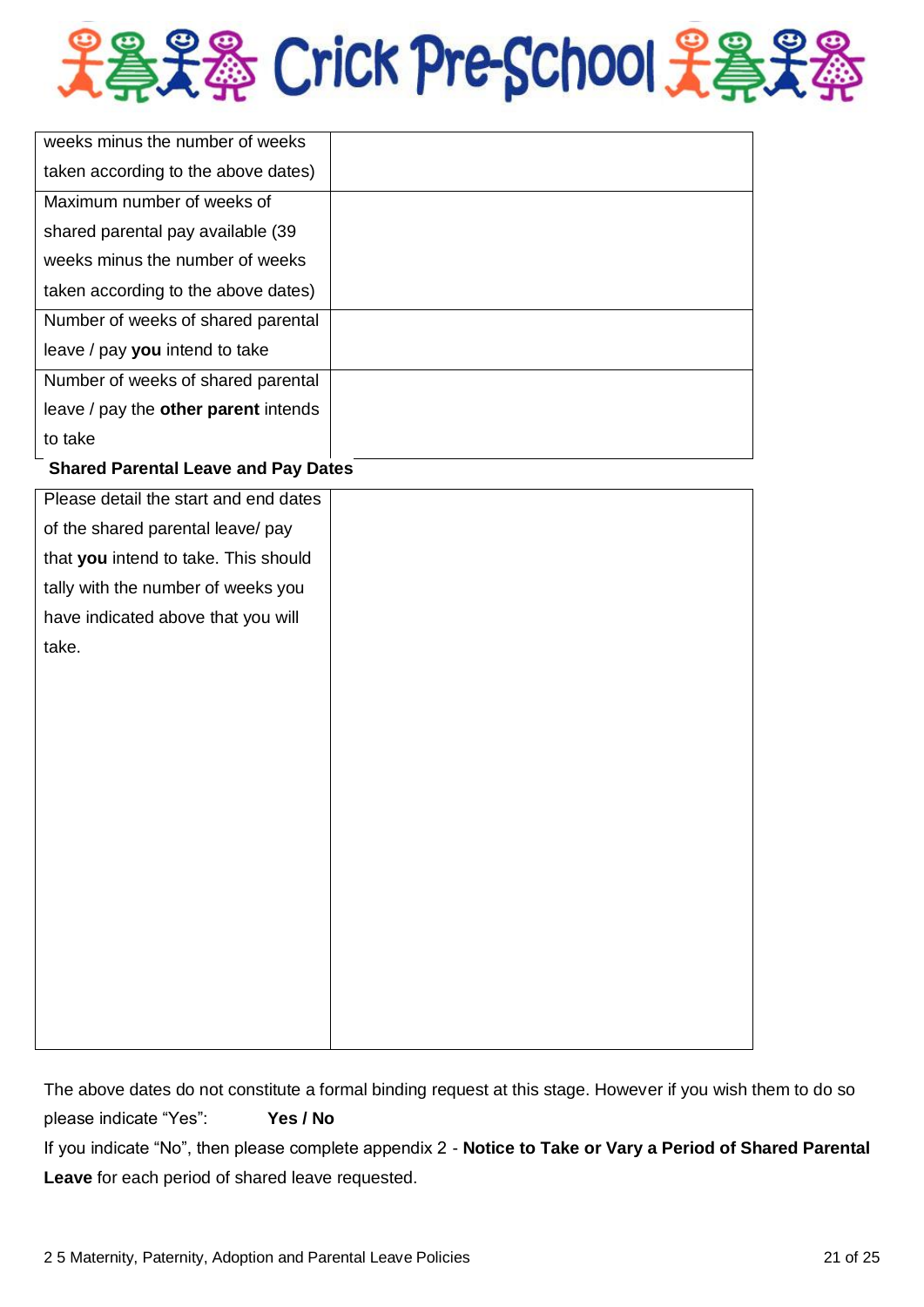

| weeks minus the number of weeks      |  |
|--------------------------------------|--|
| taken according to the above dates)  |  |
| Maximum number of weeks of           |  |
| shared parental pay available (39)   |  |
| weeks minus the number of weeks      |  |
| taken according to the above dates)  |  |
| Number of weeks of shared parental   |  |
| leave / pay you intend to take       |  |
| Number of weeks of shared parental   |  |
| leave / pay the other parent intends |  |
| to take                              |  |

# **Shared Parental Leave and Pay Dates**

| Please detail the start and end dates |  |
|---------------------------------------|--|
| of the shared parental leave/ pay     |  |
| that you intend to take. This should  |  |
| tally with the number of weeks you    |  |
| have indicated above that you will    |  |
| take.                                 |  |
|                                       |  |
|                                       |  |
|                                       |  |
|                                       |  |
|                                       |  |
|                                       |  |
|                                       |  |
|                                       |  |
|                                       |  |
|                                       |  |
|                                       |  |
|                                       |  |
|                                       |  |

The above dates do not constitute a formal binding request at this stage. However if you wish them to do so please indicate "Yes": **Yes / No** If you indicate "No", then please complete appendix 2 - **Notice to Take or Vary a Period of Shared Parental Leave** for each period of shared leave requested.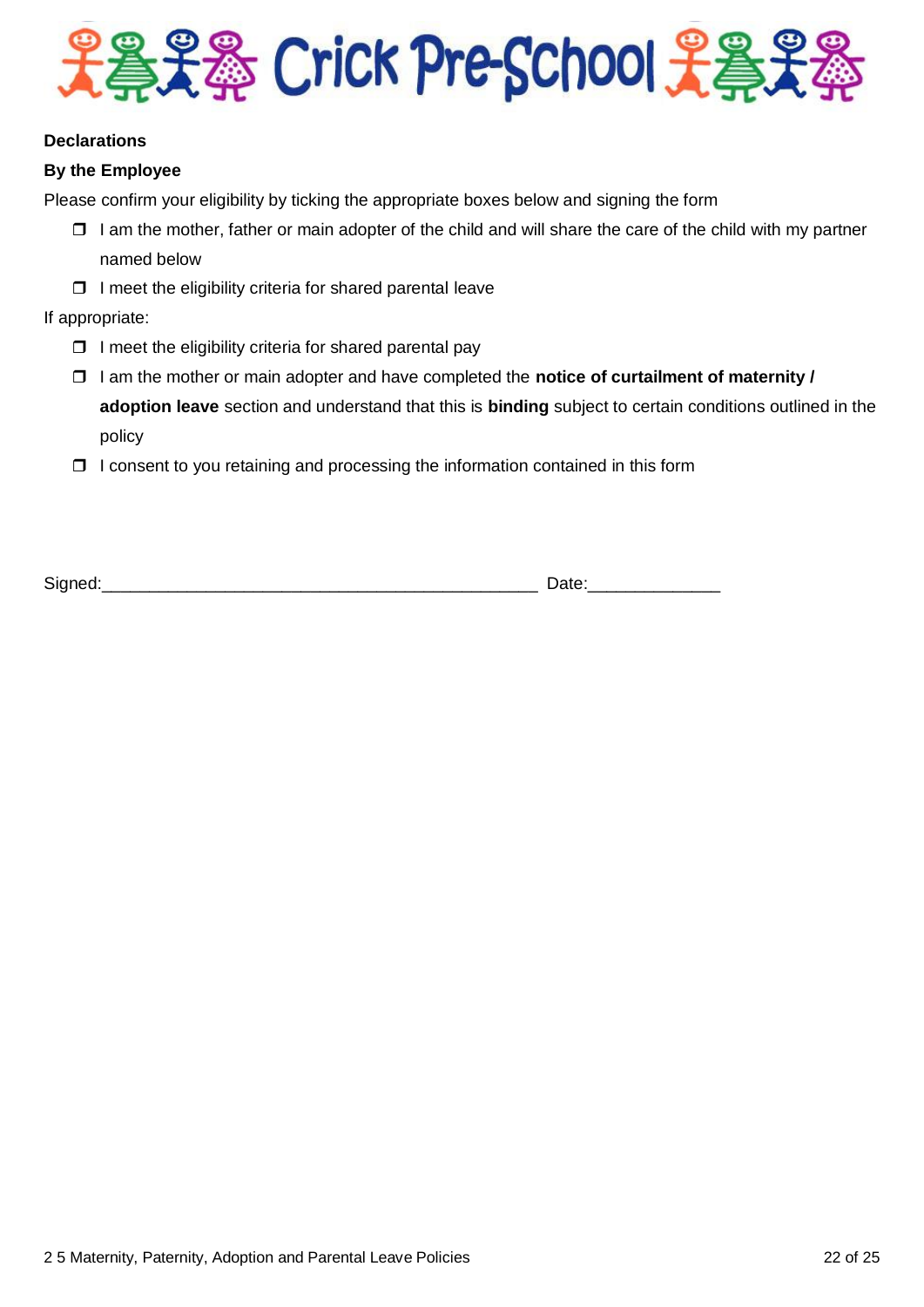

# **Declarations**

# **By the Employee**

Please confirm your eligibility by ticking the appropriate boxes below and signing the form

- $\Box$  I am the mother, father or main adopter of the child and will share the care of the child with my partner named below
- $\Box$  I meet the eligibility criteria for shared parental leave

If appropriate:

- $\Box$  I meet the eligibility criteria for shared parental pay
- I am the mother or main adopter and have completed the **notice of curtailment of maternity / adoption leave** section and understand that this is **binding** subject to certain conditions outlined in the policy
- $\Box$  I consent to you retaining and processing the information contained in this form

Signed: The contract of the contract of the contract of the contract of the contract of the contract of the contract of the contract of the contract of the contract of the contract of the contract of the contract of the co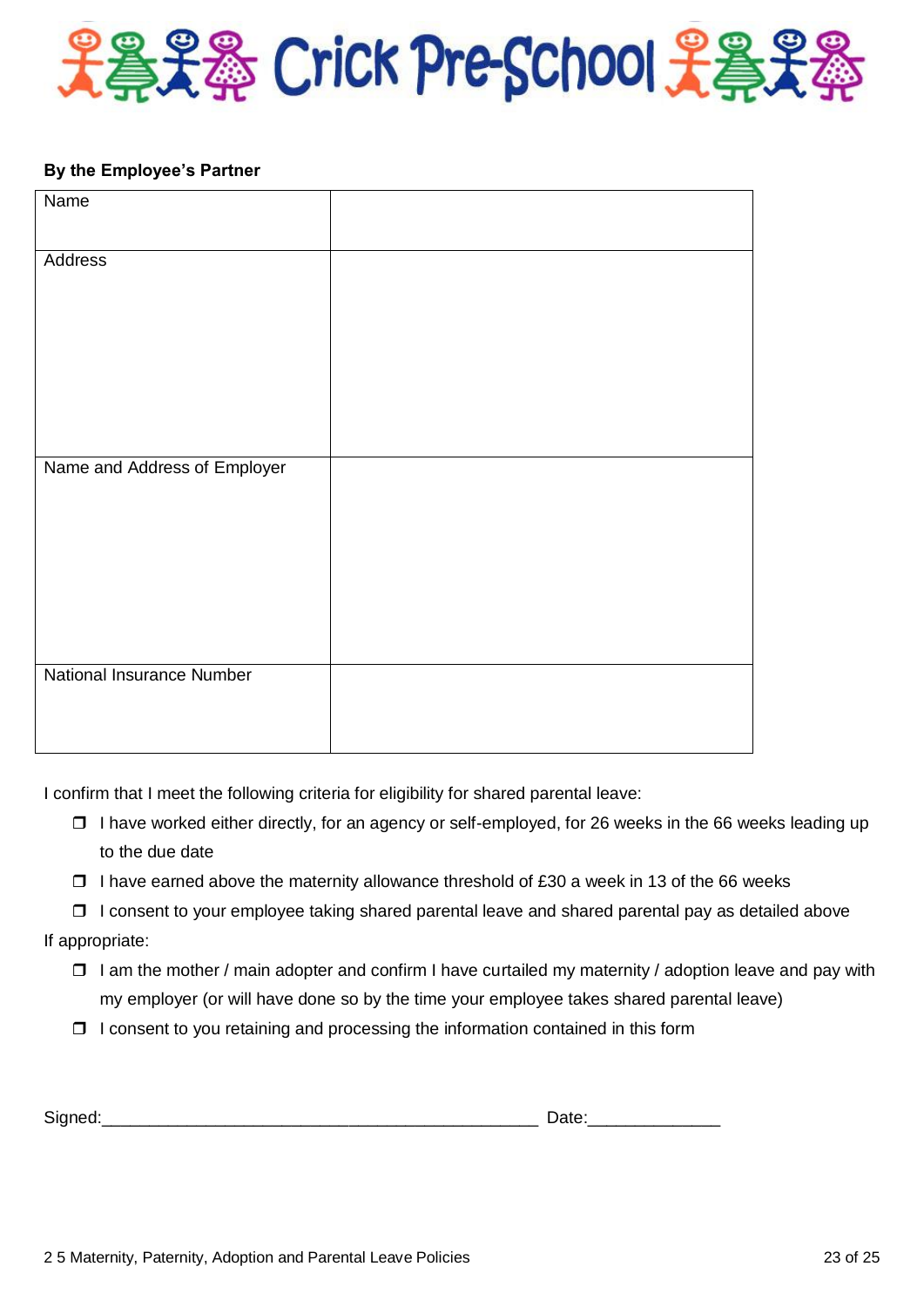

#### **By the Employee's Partner**

| Name                             |  |
|----------------------------------|--|
|                                  |  |
| Address                          |  |
|                                  |  |
|                                  |  |
|                                  |  |
|                                  |  |
|                                  |  |
|                                  |  |
| Name and Address of Employer     |  |
|                                  |  |
|                                  |  |
|                                  |  |
|                                  |  |
|                                  |  |
|                                  |  |
|                                  |  |
| <b>National Insurance Number</b> |  |
|                                  |  |
|                                  |  |
|                                  |  |

I confirm that I meet the following criteria for eligibility for shared parental leave:

- $\Box$  I have worked either directly, for an agency or self-employed, for 26 weeks in the 66 weeks leading up to the due date
- $\Box$  I have earned above the maternity allowance threshold of £30 a week in 13 of the 66 weeks
- $\Box$  I consent to your employee taking shared parental leave and shared parental pay as detailed above
- If appropriate:
	- $\Box$  I am the mother / main adopter and confirm I have curtailed my maternity / adoption leave and pay with my employer (or will have done so by the time your employee takes shared parental leave)
	- $\Box$  I consent to you retaining and processing the information contained in this form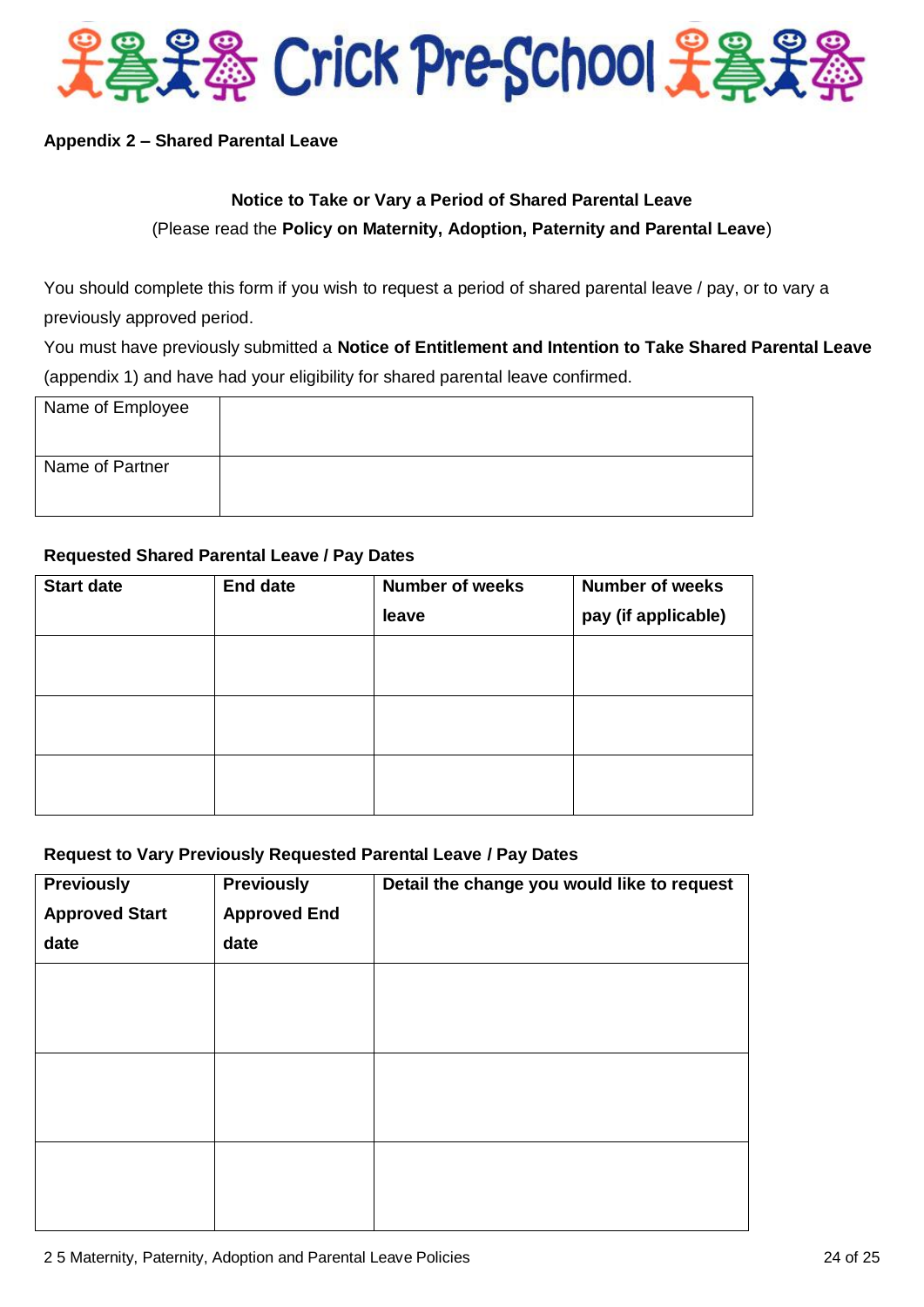

# **Appendix 2 – Shared Parental Leave**

# **Notice to Take or Vary a Period of Shared Parental Leave**

(Please read the **Policy on Maternity, Adoption, Paternity and Parental Leave**)

You should complete this form if you wish to request a period of shared parental leave / pay, or to vary a previously approved period.

You must have previously submitted a **Notice of Entitlement and Intention to Take Shared Parental Leave** (appendix 1) and have had your eligibility for shared parental leave confirmed.

| Name of Employee |  |
|------------------|--|
| Name of Partner  |  |

## **Requested Shared Parental Leave / Pay Dates**

| <b>Start date</b> | <b>End date</b> | <b>Number of weeks</b><br>leave | <b>Number of weeks</b><br>pay (if applicable) |
|-------------------|-----------------|---------------------------------|-----------------------------------------------|
|                   |                 |                                 |                                               |
|                   |                 |                                 |                                               |
|                   |                 |                                 |                                               |

## **Request to Vary Previously Requested Parental Leave / Pay Dates**

| <b>Previously</b>     | <b>Previously</b>   | Detail the change you would like to request |
|-----------------------|---------------------|---------------------------------------------|
| <b>Approved Start</b> | <b>Approved End</b> |                                             |
| date                  | date                |                                             |
|                       |                     |                                             |
|                       |                     |                                             |
|                       |                     |                                             |
|                       |                     |                                             |
|                       |                     |                                             |
|                       |                     |                                             |
|                       |                     |                                             |
|                       |                     |                                             |
|                       |                     |                                             |